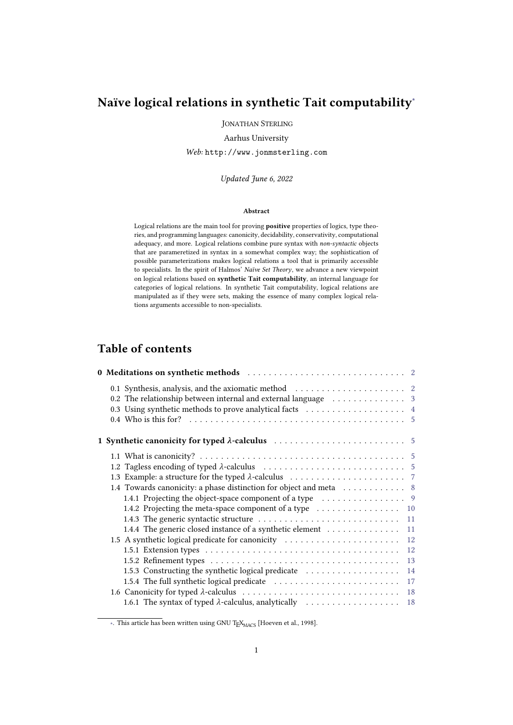# Naïve logical relations in synthetic Tait computability ∗

JONATHAN STERLING

Aarhus University

*Web:* http://www.jonmsterling.com

*Updated June 6, 2022*

## Abstract

Logical relations are the main tool for proving positive properties of logics, type theo ries, and programming languages: canonicity, decidability, conservativity, computational adequacy, and more. Logical relations combine pure syntax with *non-syntactic* objects that are parameretized in syntax in a somewhat complex way; the sophistication of possible parameterizations makes logical relations a tool that is primarily accessible to specialists. In the spirit of Halmos' *Naïve Set Theory*, we advance a new viewpoint on logical relations based on synthetic Tait computability, an internal language for categories of logical relations. In synthetic Tait computability, logical relations are manipulated as if they were sets, making the essence of many complex logical relations arguments accessible to non-specialists.

# Table of contents

| 0 Meditations on synthetic methods entertainment contains the method of Meditations on synthetic methods of the |  |  |
|-----------------------------------------------------------------------------------------------------------------|--|--|
|                                                                                                                 |  |  |
| 0.2 The relationship between internal and external language $\ldots \ldots \ldots \ldots$                       |  |  |
| 0.3 Using synthetic methods to prove analytical facts  4                                                        |  |  |
|                                                                                                                 |  |  |
|                                                                                                                 |  |  |
|                                                                                                                 |  |  |
|                                                                                                                 |  |  |
|                                                                                                                 |  |  |
| 1.4 Towards canonicity: a phase distinction for object and meta 8                                               |  |  |
|                                                                                                                 |  |  |
|                                                                                                                 |  |  |
| -11                                                                                                             |  |  |
| 1.4.4 The generic closed instance of a synthetic element<br>-11                                                 |  |  |
| 1.5 A synthetic logical predicate for canonicity<br>12                                                          |  |  |
| 12                                                                                                              |  |  |
| 13                                                                                                              |  |  |
| 1.5.3 Constructing the synthetic logical predicate<br>14                                                        |  |  |
| 17                                                                                                              |  |  |
| 18                                                                                                              |  |  |
| 18                                                                                                              |  |  |

∗. This article has been written using GNU T<sub>E</sub>X<sub>MACS</sub> [\[Hoeven](#page-23-0) [et](#page-23-0) [al.,](#page-23-0) [1998\]](#page-23-0).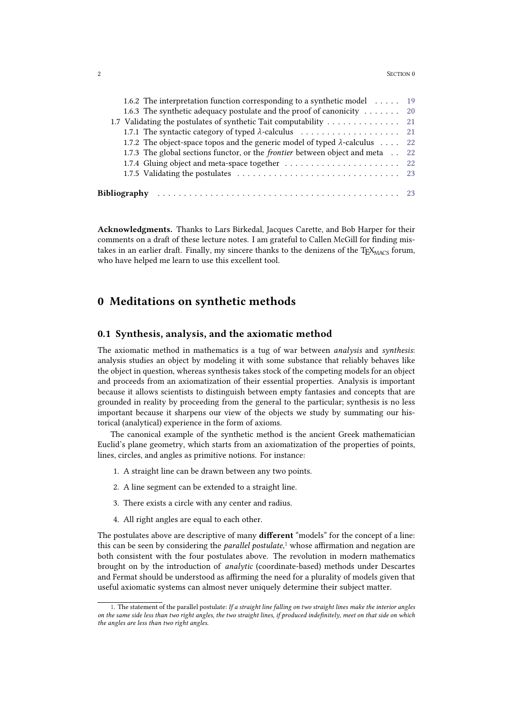#### 2 SECTION 0

| 1.6.2 The interpretation function corresponding to a synthetic model  19               |  |
|----------------------------------------------------------------------------------------|--|
| 1.6.3 The synthetic adequacy postulate and the proof of canonicity $\dots \dots$ 20    |  |
| 1.7 Validating the postulates of synthetic Tait computability 21                       |  |
|                                                                                        |  |
| 1.7.2 The object-space topos and the generic model of typed $\lambda$ -calculus  22    |  |
| 1.7.3 The global sections functor, or the <i>frontier</i> between object and meta . 22 |  |
|                                                                                        |  |
|                                                                                        |  |
|                                                                                        |  |
| Bibliography                                                                           |  |

Acknowledgments. Thanks to Lars Birkedal, Jacques Carette, and Bob Harper for their comments on a draft of these lecture notes. I am grateful to Callen McGill for finding mistakes in an earlier draft. Finally, my sincere thanks to the denizens of the  $\text{TeX}_{\text{MACS}}$  forum, who have helped me learn to use this excellent tool.

## <span id="page-1-0"></span>0 Meditations on synthetic methods

## <span id="page-1-1"></span>0.1 Synthesis, analysis, and the axiomatic method

The axiomatic method in mathematics is a tug of war between *analysis* and *synthesis*: analysis studies an object by modeling it with some substance that reliably behaves like the object in question, whereas synthesis takes stock of the competing models for an object and proceeds from an axiomatization of their essential properties. Analysis is important because it allows scientists to distinguish between empty fantasies and concepts that are grounded in reality by proceeding from the general to the particular; synthesis is no less important because it sharpens our view of the objects we study by summating our historical (analytical) experience in the form of axioms.

The canonical example of the synthetic method is the ancient Greek mathematician Euclid's plane geometry, which starts from an axiomatization of the properties of points, lines, circles, and angles as primitive notions. For instance:

- 1. A straight line can be drawn between any two points.
- 2. A line segment can be extended to a straight line.
- 3. There exists a circle with any center and radius.
- <span id="page-1-2"></span>4. All right angles are equal to each other.

The postulates above are descriptive of many different "models" for the concept of a line: this can be seen by considering the *parallel postulate*,<sup>1</sup> whose affirmation and negation are both consistent with the four postulates above. The revolution in modern mathematics brought on by the introduction of *analytic* (coordinate-based) methods under Descartes and Fermat should be understood as affirming the need for a plurality of models given that useful axiomatic systems can almost never uniquely determine their subject matter.

[<sup>1.</sup>](#page-1-2) The statement of the parallel postulate: *If a straight line falling on two straight lines make the interior angles* on the same side less than two right angles, the two straight lines, if produced indefinitely, meet on that side on which *the angles are less than two right angles.*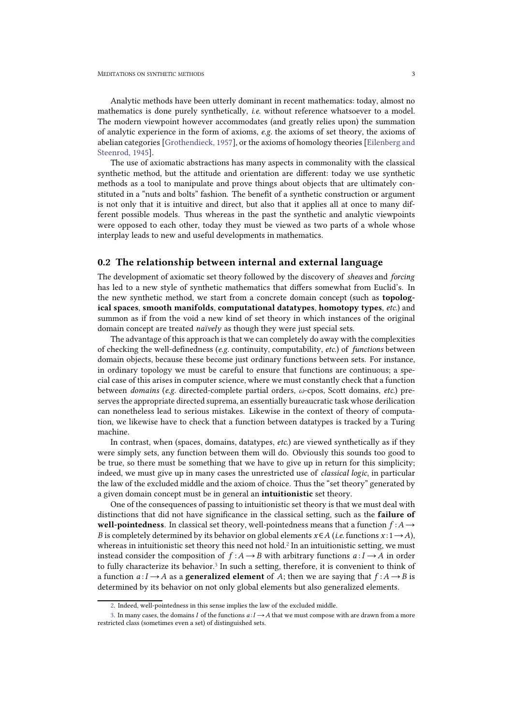Analytic methods have been utterly dominant in recent mathematics: today, almost no mathematics is done purely synthetically, *i.e.* without reference whatsoever to a model. The modern viewpoint however accommodates (and greatly relies upon) the summation of analytic experience in the form of axioms, *e.g.* the axioms of set theory, the axioms of abelian categories [\[Grothendieck,](#page-23-1) [1957\]](#page-23-1), or the axioms of homology theories [\[Eilenberg](#page-22-2) [and](#page-22-2) [Steenrod,](#page-22-2) [1945\]](#page-22-2).

The use of axiomatic abstractions has many aspects in commonality with the classical synthetic method, but the attitude and orientation are different: today we use synthetic methods as a tool to manipulate and prove things about objects that are ultimately con stituted in a "nuts and bolts" fashion. The benefit of a synthetic construction or argument is not only that it is intuitive and direct, but also that it applies all at once to many different possible models. Thus whereas in the past the synthetic and analytic viewpoints were opposed to each other, today they must be viewed as two parts of a whole whose interplay leads to new and useful developments in mathematics.

## <span id="page-2-0"></span>0.2 The relationship between internal and external language

The development of axiomatic set theory followed by the discovery of *sheaves* and *forcing* has led to a new style of synthetic mathematics that differs somewhat from Euclid's. In the new synthetic method, we start from a concrete domain concept (such as topological spaces, smooth manifolds, computational datatypes, homotopy types, *etc.*) and summon as if from the void a new kind of set theory in which instances of the original domain concept are treated *naïvely* as though they were just special sets.

The advantage ofthis approach is that we can completely do away with the complexities of checking the well-definedness (*e.g.* continuity, computability, *etc.*) of *functions* between domain objects, because these become just ordinary functions between sets. For instance, in ordinary topology we must be careful to ensure that functions are continuous; a spe cial case ofthis arises in computer science, where we must constantly check that a function between *domains* (*e.g.* directed-complete partial orders, *ω*-cpos, Scott domains, *etc.*) pre serves the appropriate directed suprema, an essentially bureaucratic task whose derilication can nonetheless lead to serious mistakes. Likewise in the context of theory of computation, we likewise have to check that a function between datatypes is tracked by a Turing machine.

In contrast, when (spaces, domains, datatypes, *etc.*) are viewed synthetically as if they were simply sets, any function between them will do. Obviously this sounds too good to be true, so there must be something that we have to give up in return for this simplicity; indeed, we must give up in many cases the unrestricted use of *classical logic*, in particular the law of the excluded middle and the axiom of choice. Thus the "set theory" generated by a given domain concept must be in general an intuitionistic set theory.

One of the consequences of passing to intuitionistic set theory is that we must deal with distinctions that did not have significance in the classical setting, such as the failure of well-pointedness. In classical set theory, well-pointedness means that a function  $f : A \rightarrow$ *B* is completely determined by its behavior on global elements  $x \in A$  (*i.e.* functions  $x: 1 \rightarrow A$ ), whereas in intuitionistic set theory this need not hold.<sup>2</sup> In an intuitionistic setting, we must instead consider the composition of  $f : A \rightarrow B$  with arbitrary functions  $a : I \rightarrow A$  in order to fully characterize its behavior.<sup>3</sup> In such a setting, therefore, it is convenient to think of a function  $a: I \rightarrow A$  as a **generalized element** of *A*; then we are saying that  $f: A \rightarrow B$  is determined by its behavior on not only global elements but also generalized elements.

<span id="page-2-2"></span><span id="page-2-1"></span>[<sup>2.</sup>](#page-2-1) Indeed, well-pointedness in this sense implies the law of the excluded middle.

[<sup>3.</sup>](#page-2-2) In many cases, the domains *I* of the functions *a* :*I* →*A* that we must compose with are drawn from a more restricted class (sometimes even aset) of distinguished sets.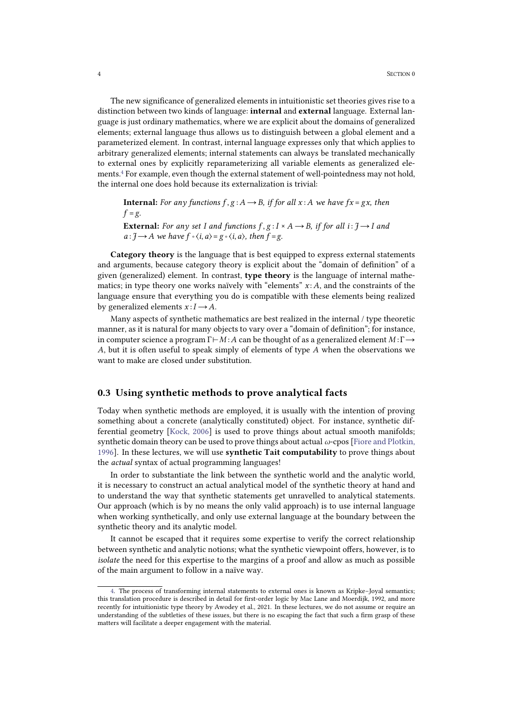The new significance of generalized elements in intuitionistic set theories gives rise to a distinction between two kinds of language: internal and external language. External language is just ordinary mathematics, where we are explicit about the domains of generalized elements; external language thus allows us to distinguish between a global element and a parameterized element. In contrast, internal language expresses only that which applies to arbitrary generalized elements; internal statements can always be translated mechanically to external ones by explicitly reparameterizing all variable elements as generalized ele ments.<sup>4</sup> For example, even though the external statement of well-pointedness may not hold, the internal one does hold because its externalization is trivial:

<span id="page-3-1"></span>**Internal:** For any functions  $f, g: A \rightarrow B$ , if for all  $x: A$  we have  $fx = gx$ , then  $f = g$ . **External:** For any set I and functions  $f, g: I \times A \rightarrow B$ , if for all  $i: \tilde{J} \rightarrow I$  and *a* : *J* → *A we have*  $f \circ \langle i, a \rangle = g \circ \langle i, a \rangle$ , *then*  $f = g$ .

Category theory is the language that is best equipped to express external statements and arguments, because category theory is explicit about the "domain of definition" of a given (generalized) element. In contrast, type theory is the language of internal mathematics; in type theory one works naïvely with "elements" *x* :*A*, and the constraints of the language ensure that everything you do is compatible with these elements being realized by generalized elements  $x: I \rightarrow A$ .

Many aspects of synthetic mathematics are best realized in the internal / type theoretic manner, as it is natural for many objects to vary over a "domain of definition"; for instance, in computer science a program Γ⊢*M* :*A* can be thought of as a generalized element *M* :Γ→ *A*, but it is often useful to speak simply of elements of type *A* when the observations we want to make are closed under substitution.

## <span id="page-3-0"></span>0.3 Using synthetic methods to prove analytical facts

Today when synthetic methods are employed, it is usually with the intention of proving something about a concrete (analytically constituted) object. For instance, synthetic differential geometry [\[Kock,](#page-23-2) [2006\]](#page-23-2) is used to prove things about actual smooth manifolds; synthetic domain theory can be used to prove things about actual *ω*-cpos [\[Fiore](#page-22-3) [and](#page-22-3) [Plotkin,](#page-22-3) [1996\]](#page-22-3). In these lectures, we will use synthetic Tait computability to prove things about the *actual* syntax of actual programming languages!

In order to substantiate the link between the synthetic world and the analytic world, it is necessary to construct an actual analytical model of the synthetic theory at hand and to understand the way that synthetic statements get unravelled to analytical statements. Our approach (which is by no means the only valid approach) is to use internal language when working synthetically, and only use external language at the boundary between the synthetic theory and its analytic model.

It cannot be escaped that it requires some expertise to verify the correct relationship between synthetic and analytic notions; what the synthetic viewpoint offers, however, is to *isolate* the need for this expertise to the margins of a proof and allow as much as possible of the main argument to follow in a naïve way.

[<sup>4.</sup>](#page-3-1) The process of transforming internal statements to external ones is known as Kripke–Joyal semantics; this translation procedure is described in detail for first-order logic by Mac Lane and Moerdijk, 1992, and more recently for intuitionistic type theory by Awodey et al., 2021. In these lectures, we do not assume or require an understanding of the subtleties of these issues, but there is no escaping the fact that such a firm grasp of these matters will facilitate a deeper engagement with the material.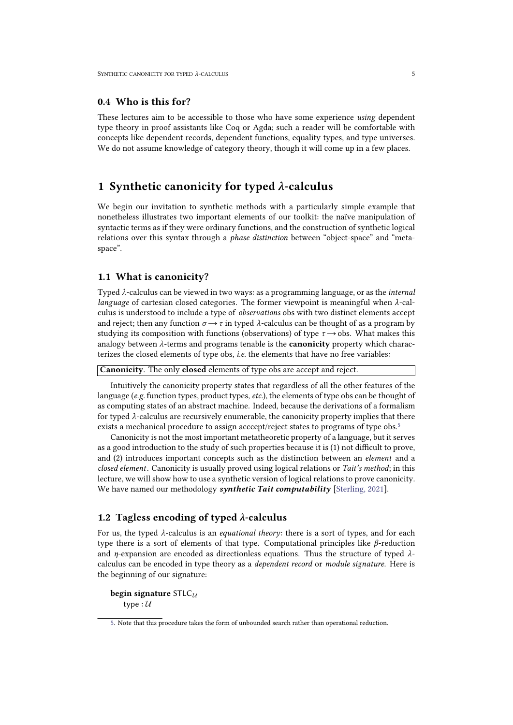## <span id="page-4-0"></span>0.4 Who is this for?

These lectures aim to be accessible to those who have some experience *using* dependent type theory in proof assistants like Coq or Agda; such a reader will be comfortable with concepts like dependent records, dependent functions, equality types, and type universes. We do not assume knowledge of category theory, though it will come up in a few places.

## <span id="page-4-1"></span>1 Synthetic canonicity for typed *λ*-calculus

We begin our invitation to synthetic methods with a particularly simple example that nonetheless illustrates two important elements of our toolkit: the naïve manipulation of syntactic terms as if they were ordinary functions, and the construction of synthetic logical relations over this syntax through a *phase distinction* between "object-space" and "meta space".

## <span id="page-4-5"></span><span id="page-4-2"></span>1.1 What is canonicity?

Typed *λ*-calculus can be viewed in two ways: as a programming language, or as the *internal language* of cartesian closed categories. The former viewpoint is meaningful when *λ*-cal culus is understood to include a type of *observations* obs with two distinct elements accept and reject; then any function  $\sigma \rightarrow \tau$  in typed *λ*-calculus can be thought of as a program by studying its composition with functions (observations) of type  $\tau \rightarrow$  obs. What makes this analogy between  $\lambda$ -terms and programs tenable is the **canonicity** property which characterizes the closed elements of type obs, *i.e.* the elements that have no free variables:

Canonicity. The only closed elements of type obs are accept and reject.

Intuitively the canonicity property states that regardless of all the other features of the language (*e.g.* function types, product types, *etc.*), the elements of type obs can be thought of as computing states of an abstract machine. Indeed, because the derivations of a formalism for typed *λ*-calculus are recursively enumerable, the canonicity property implies that there exists a mechanical procedure to assign acccept/reject states to programs of type obs.<sup>5</sup>

<span id="page-4-4"></span>Canonicity is not the most important metatheoretic property of a language, but it serves as a good introduction to the study of such properties because it is (1) not difficult to prove, and (2) introduces important concepts such as the distinction between an *element* and a *closed element*. Canonicity is usually proved using logical relations or *Tait's method*; in this lecture, we will show how to use a synthetic version of logical relations to prove canonicity. We have named our methodology *synthetic Tait computability* [\[Sterling,](#page-23-3) [2021\]](#page-23-3).

## <span id="page-4-3"></span>1.2 Tagless encoding of typed *λ*-calculus

For us, the typed *λ*-calculus is an *equational theory*: there is a sort of types, and for each type there is a sort of elements of that type. Computational principles like *β*-reduction and *η*-expansion are encoded as directionless equations. Thus the structure of typed *λ* calculus can be encoded in type theory as a *dependent record* or *module signature*. Here is the beginning of our signature:

<span id="page-4-6"></span>begin signature STLC*<sup>U</sup>* type : *U*

[<sup>5.</sup>](#page-4-4) Note that this procedure takes the form of unbounded search rather than operational reduction.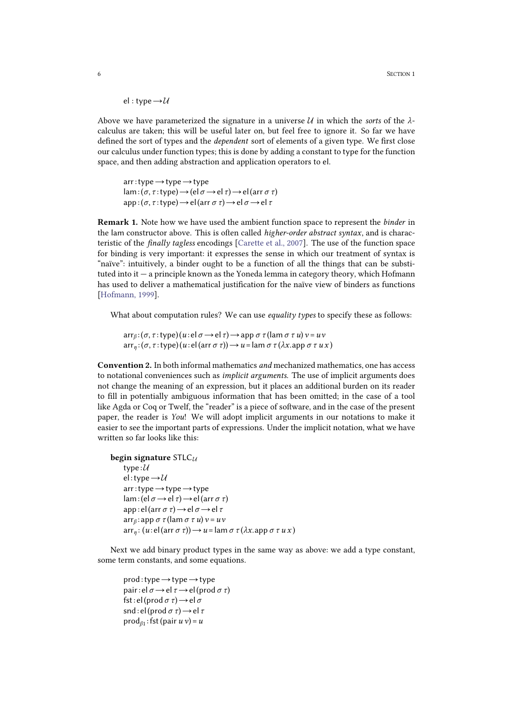el : type→*U*

Above we have parameterized the signature in a universe  $U$  in which the *sorts* of the  $\lambda$ - calculus are taken; this will be useful later on, but feel free to ignore it. So far we have defined the sort of types and the *dependent* sort of elements of a given type. We first close our calculus under function types; this is done by adding a constant to type for the function space, and then adding abstraction and application operators to el.

arr:type→type→type lam:  $(\sigma, \tau : \text{type}) \rightarrow (\text{el } \sigma \rightarrow \text{el } \tau) \rightarrow \text{el}(\text{arr } \sigma \tau)$  $app: (\sigma, \tau : type) \rightarrow el \left( \arctan \sigma \tau \right) \rightarrow el \sigma \rightarrow el \tau$ 

Remark 1. Note how we have used the ambient function space to represent the *binder* in the lam constructor above. This is often called *higher-order abstract syntax*, and is characteristic of the *finally tagless* encodings [\[Carette](#page-22-4) [et](#page-22-4) [al.,](#page-22-4) [2007\]](#page-22-4). The use of the function space for binding is very important: it expresses the sense in which our treatment of syntax is "naïve": intuitively, a binder ought to be a function of all the things that can be substituted into it  $-$  a principle known as the Yoneda lemma in category theory, which Hofmann has used to deliver a mathematical justification for the naïve view of binders as functions [\[Hofmann,](#page-23-4) [1999\]](#page-23-4).

What about computation rules? We can use *equality types* to specify these as follows:

 $\arctan(\sigma, \tau \cdot \text{type})$  (*u* : el  $\sigma \rightarrow$  el  $\tau$ )  $\rightarrow$  app  $\sigma \tau$  (lam  $\sigma \tau u$ )  $v = uv$  $\arctan(\sigma, \tau \cdot \text{type})(u : \text{el}(\arctan \sigma \tau)) \rightarrow u = \text{lam } \sigma \tau (\lambda x.\text{app } \sigma \tau u x)$ 

Convention 2. In both informal mathematics *and* mechanized mathematics, one has access to notational conveniences such as*implicit arguments*. The use of implicit arguments does not change the meaning of an expression, but it places an additional burden on its reader to fill in potentially ambiguous information that has been omitted; in the case of a tool like Agda or Coq or Twelf, the "reader" is a piece of software, and in the case of the present paper, the reader is *You*! We will adopt implicit arguments in our notations to make it easier to see the important parts of expressions. Under the implicit notation, what we have written so far looks like this:

```
begin signature STLCU
```

```
type :U
el :type→U
arr:type→type→type
lam : (el σ → el τ) → el (arr σ τ)
app : el(arr σ τ)→el σ →el τ arrβ : app σ τ (lam σ τ u) v =uv \arctan(x) = u \cdot \arctan(x) + u = \arctan(x) \cdot \arctan(x) + \arctan(x) + \arctan(x) + \arctan(x) + \arctan(x) + \arctan(x) + \arctan(x) + \arctan(x) + \arctan(x) + \arctan(x) + \arctan(x) + \arctan(x) + \arctan(x) + \arctan(x) + \arctan(x) + \arctan(x) + \arctan(x) + \arctan(x) + \arctan(x) + \arctan(x) + \arctan(x) + \arctan(x) + \arctan(x) + \arctan(x) + \arctan(x) + \arctan(x) + \arctan(x) + \arctan
```
Next we add binary product types in the same way as above: we add a type constant, some term constants, and some equations.

```
prod:type→type→type pair: el \sigma \rightarrowel \tau \rightarrowel(prod \sigma \tau)
fst: el(prod \sigma \tau) \rightarrow el\sigmasnd: el(prod \sigma \tau) \rightarrow el \tauprodβ1
:fst(pair u v)=u
```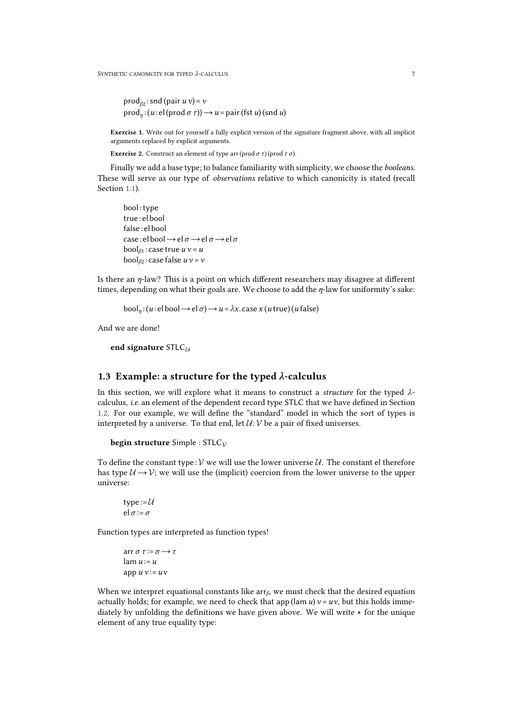```
\operatorname{prod}_{\beta 2}: snd (pair u v) = vprodη
:(u : el(prod σ τ))→u =pair(fst u) (snd u)
```
Exercise 1. Write out for yourself a fully explicit version of the signature fragment above, with all implicit arguments replaced by explicit arguments.

Exercise 2. Construct an element of type arr (prod *σ τ*)(prod *τ σ*).

Finally we add a base type; to balance familiarity with simplicity, we choose the *booleans*. These will serve as our type of *observations* relative to which canonicity is stated (recall Section [1.1\)](#page-4-5).

```
bool :type
true : el bool
false : el bool case : el bool→elσ →el σ →elσ
\text{bool}_{\beta_1}: case true u v = uboolβ2 : case false u v =v
```
Is there an *η*-law? This is a point on which different researchers may disagree at different times, depending on what their goals are. We choose to add the *η*-law for uniformity's sake:

 $\text{bool}_n : (u : \text{el} \text{bool} \rightarrow \text{el} \sigma) \rightarrow u = \lambda x$ . case  $x(u \text{ true})(u \text{ false})$ 

And we are done!

end signature STLC*<sup>U</sup>*

## <span id="page-6-0"></span>1.3 Example: a structure for the typed *λ*-calculus

In this section, we will explore what it means to construct a *structure* for the typed *λ* calculus, *i.e.* an element of the dependent record type STLC that we have defined in Section [1.2.](#page-4-6) For our example, we will define the "standard" model in which the sort of types is interpreted by a universe. To that end, let  $U:V$  be a pair of fixed universes.

```
begin structure Simple : STLCV
```
To define the constant type : *V* we will use the lower universe *U*. The constant el therefore has type  $\mathcal{U} \rightarrow \mathcal{V}$ ; we will use the (implicit) coercion from the lower universe to the upper universe:

type: $=\mathcal{U}$ el *σ* :=*σ*

Function types are interpreted as function types!

arr *σ τ* :=*σ* →*τ*  $lam u := u$ app  $u v := uv$ 

When we interpret equational constants like arr*β*, we must check that the desired equation actually holds; for example, we need to check that app (lam  $u$ )  $v = uv$ , but this holds immediately by unfolding the definitions we have given above. We will write  $\star$  for the unique element of any true equality type: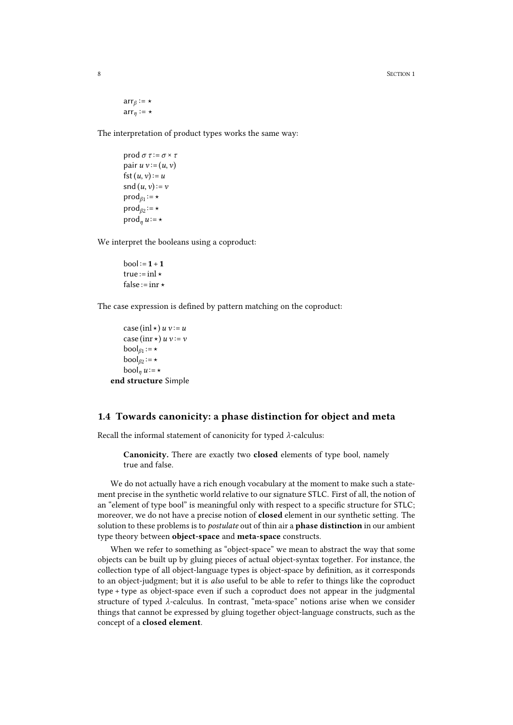8 SECTION 1

arr $\beta := \star$  $\arr<sub>n</sub> := \star$ 

The interpretation of product types works the same way:

prod *σ τ* :=*σ* ×*τ* pair  $u v := (u, v)$ fst $(u, v) := u$ snd  $(u, v) := v$ prod*β*<sup>1</sup> :=⋆ prod*β*<sup>2</sup> :=⋆  $\text{prod}_n u := \star$ 

We interpret the booleans using a coproduct:

bool :=  $1+1$  $true := in1 \star$ false := inr  $\star$ 

The case expression is defined by pattern matching on the coproduct:

```
\case(\text{inl} \star) u v := u\case(\text{inr} \star) u v := v\text{bool}_{\beta_1} := \star\text{bool}_{\beta 2} := \star\text{bool}_n u := \starend structure Simple
```
## <span id="page-7-0"></span>1.4 Towards canonicity: a phase distinction for object and meta

Recall the informal statement of canonicity for typed *λ*-calculus:

Canonicity. There are exactly two closed elements of type bool, namely true and false.

We do not actually have a rich enough vocabulary at the moment to make such a statement precise in the synthetic world relative to our signature STLC. First of all, the notion of an "element of type bool" is meaningful only with respect to a specific structure for STLC; moreover, we do not have a precise notion of closed element in our synthetic setting. The solution to these problems is to *postulate* out of thin air a phase distinction in our ambient type theory between object-space and meta-space constructs.

When we refer to something as "object-space" we mean to abstract the way that some objects can be built up by gluing pieces of actual object-syntax together. For instance, the collection type of all object-language types is object-space by definition, as it corresponds to an object-judgment; but it is *also* useful to be able to refer to things like the coproduct type + type as object-space even if such a coproduct does not appear in the judgmental structure of typed *λ*-calculus. In contrast, "meta-space" notions arise when we consider things that cannot be expressed by gluing together object-language constructs, such asthe concept of a closed element.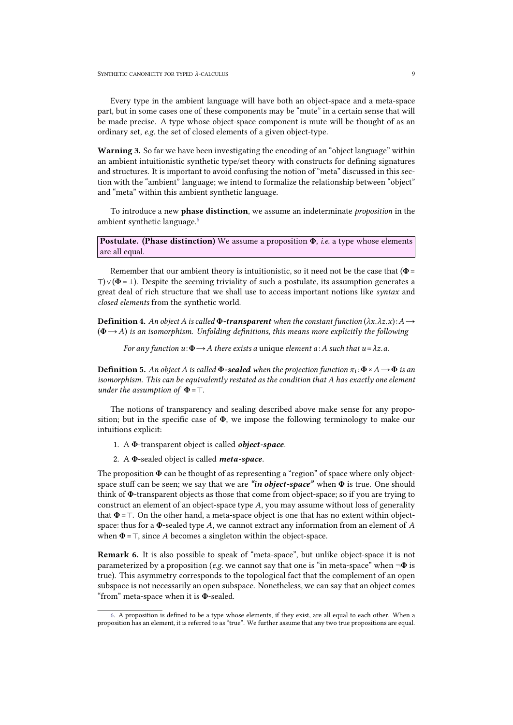Every type in the ambient language will have both an object-space and a meta-space part, but in some cases one of these components may be "mute" in a certain sense that will be made precise. A type whose object-space component is mute will be thought of as an ordinary set, *e.g.* the set of closed elements of a given object-type.

Warning 3. So far we have been investigating the encoding of an "object language" within an ambient intuitionistic synthetic type/set theory with constructs for defining signatures and structures. It is important to avoid confusing the notion of "meta" discussed in this section with the "ambient" language; we intend to formalize the relationship between "object" and "meta" within this ambient synthetic language.

<span id="page-8-0"></span>To introduce a new phase distinction, we assume an indeterminate *proposition* in the ambient synthetic language.<sup>6</sup>

Postulate. (Phase distinction) We assume a proposition Φ, *i.e.* a type whose elements are all equal.

Remember that our ambient theory is intuitionistic, so it need not be the case that ( $\Phi$ =  $\top$ ) $\vee$ ( $\Phi$  =  $\bot$ ). Despite the seeming triviality of such a postulate, its assumption generates a great deal of rich structure that we shall use to access important notions like *syntax* and *closed elements* from the synthetic world.

**Definition 4.** An object A is called  $\Phi$ -transparent when the constant function  $(\lambda x.\lambda z.x):A\rightarrow$ (Φ→*A*) *is an isomorphism. Unfolding definitions, this means more explicitly the following*

<span id="page-8-2"></span><span id="page-8-1"></span>*For any function*  $u: \Phi \rightarrow A$  *there exists a unique element a* : A *such that*  $u = \lambda z$ .*a.* 

**Definition 5.** An object A is called  $\Phi$ -sealed when the projection function  $\pi_1$ : $\Phi \times A \rightarrow \Phi$  is an *isomorphism. This can be equivalently restated asthe condition that A has exactly one element under the assumption of*  $\Phi$  = ⊤.

The notions of transparency and sealing described above make sense for any propo sition; but in the specific case of  $\Phi$ , we impose the following terminology to make our intuitions explicit:

1. A Φ-transparent object is called *object-space*.

2. A Φ-sealed object is called *meta-space*.

The proposition  $\Phi$  can be thought of as representing a "region" of space where only objectspace stuff can be seen; we say that we are *"in object-space"* when Φ is true. One should think of Φ-transparent objects as those that come from object-space; so if you are trying to construct an element of an object-space type *A*, you may assume without loss of generality that  $\Phi = \top$ . On the other hand, a meta-space object is one that has no extent within objectspace: thus for a Φ-sealed type *A*, we cannot extract any information from an element of *A* when  $\Phi = \top$ , since *A* becomes a singleton within the object-space.

Remark 6. It is also possible to speak of "meta-space", but unlike object-space it is not parameterized by a proposition (*e.g.* we cannot say that one is "in meta-space" when ¬Φ is true). This asymmetry corresponds to the topological fact that the complement of an open subspace is not necessarily an open subspace. Nonetheless, we can say that an object comes "from" meta-space when it is  $\Phi$ -sealed.

[<sup>6.</sup>](#page-8-0) A proposition is defined to be a type whose elements, if they exist, are all equal to each other. When a proposition has an element, it is referred to as "true". We further assume that any two true propositions are equal.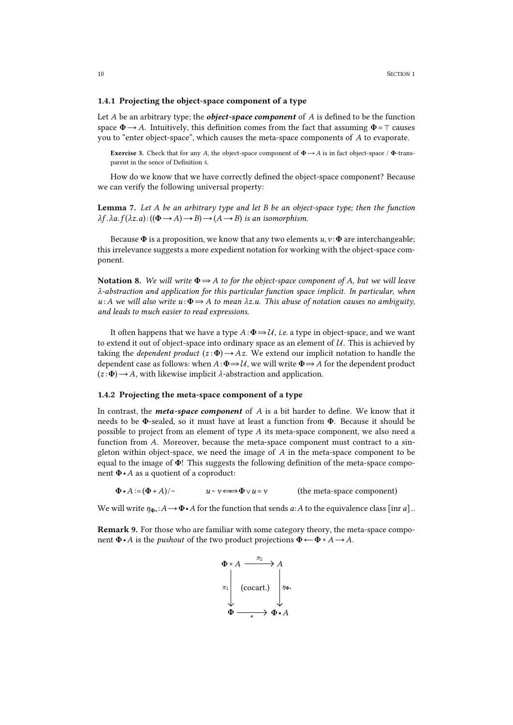#### <span id="page-9-0"></span>1.4.1 Projecting the object-space component of a type

Let *A* be an arbitrary type; the *object-space component* of *A* is defined to be the function space  $\Phi \rightarrow A$ . Intuitively, this definition comes from the fact that assuming  $\Phi = \top$  causes you to "enter object-space", which causes the meta-space components of *A* to evaporate.

Exercise 3. Check that for any *A*, the object-space component of  $\Phi \rightarrow A$  is in fact object-space /  $\Phi$ -trans-parent in the sence of Definition [4.](#page-8-1)

How do we know that we have correctly defined the object-space component? Because we can verify the following universal property:

Lemma 7. *Let A be an arbitrary type and letB bean object-space type; then the function*  $\lambda f \cdot \lambda a \cdot f(\lambda z \cdot a) \cdot ((\Phi \rightarrow A) \rightarrow B) \rightarrow (A \rightarrow B)$  *is an isomorphism.* 

Because  $\Phi$  is a proposition, we know that any two elements  $u, v: \Phi$  are interchangeable; this irrelevance suggests a more expedient notation for working with the object-space com ponent.

Notation 8. We will write  $\Phi \Rightarrow A$  to for the object-space component of A, but we will leave *λ-abstraction and application for this particular function space implicit. In particular, when*  $u: A$  we will also write  $u: \Phi \Rightarrow A$  to mean  $\lambda z.$ *u.* This abuse of notation causes no ambiguity, *and leads to much easier to read expressions.*

It often happens that we have a type  $A : \Phi \rightarrow \mathcal{U}$ , *i.e.* a type in object-space, and we want to extend it out of object-space into ordinary space as an element of  $U$ . This is achieved by taking the *dependent product*  $(z:\Phi) \rightarrow Az$ . We extend our implicit notation to handle the dependent case as follows: when  $A: \Phi \to U$ , we will write  $\Phi \to A$  for the dependent product  $(z:\Phi) \rightarrow A$ , with likewise implicit  $\lambda$ -abstraction and application.

## <span id="page-9-1"></span>1.4.2 Projecting the meta-space component of a type

In contrast, the *meta-space component* of *A* is a bit harder to define. We know that it needs to be Φ-sealed, so it must have at least a function from Φ. Because itshould be possible to project from an element of type *A* its meta-space component, we also need a function from *A*. Moreover, because the meta-space component must contract to a sin gleton within object-space, we need the image of *A* in the meta-space component to be equal to the image of  $\Phi$ ! This suggests the following definition of the meta-space component Φ•*A* as a quotient of a coproduct:

Φ•*A* :=(Φ+*A*)/∼ *u* ∼ *v*⇐⇒⇒⇐Φ∨*u* =*v* (the meta-space component)

We will write  $\eta_{\Phi}$  : *A* →  $\Phi$ •*A* for the function that sends *a*:*A* to the equivalence class [inr *a*] –.

Remark 9. For those who are familiar with some category theory, the meta-space compo nent  $\Phi \cdot A$  is the *pushout* of the two product projections  $\Phi \leftarrow \Phi \times A \rightarrow A$ .

$$
\Phi \times A \xrightarrow{\pi_2} A
$$
\n
$$
\pi_1 \qquad \text{(cocart.)} \qquad \eta \Phi.
$$
\n
$$
\Phi \longrightarrow \Phi \cdot A
$$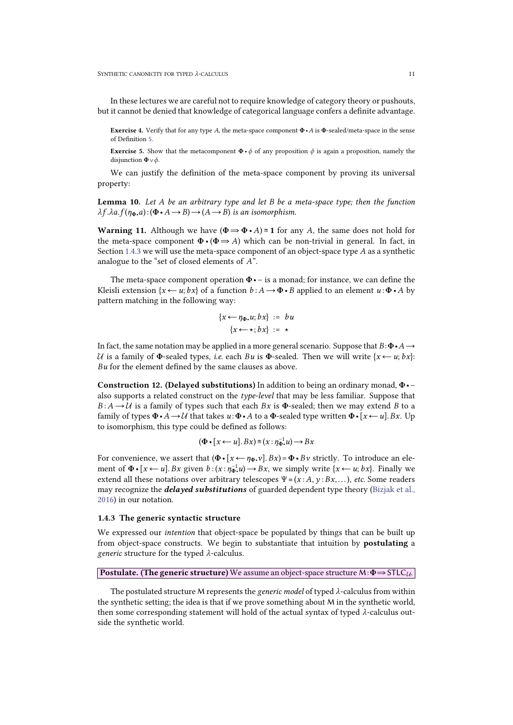In these lectures we are careful not to require knowledge of category theory or pushouts, but it cannot be denied that knowledge of categorical language confers a definite advantage.

Exercise 4. Verify that for any type *A*, the meta-space component Φ•*A* is Φ-sealed/meta-space in the sense of Definition [5.](#page-8-2)

**Exercise 5.** Show that the metacomponent  $\Phi \cdot \phi$  of any proposition  $\phi$  is again a proposition, namely the disjunction Φ∨*ϕ*.

We can justify the definition of the meta-space component by proving its universal property:

<span id="page-10-2"></span>Lemma 10. *Let A be an arbitrary type and let B be a meta-space type; then the function*  $\lambda f \cdot \lambda a.f(\eta_{\Phi}.a) : (\Phi \cdot A \rightarrow B) \rightarrow (A \rightarrow B)$  *is an isomorphism.* 

**Warning 11.** Although we have  $(\Phi \Rightarrow \Phi \cdot A) \cong 1$  for any *A*, the same does not hold for the meta-space component  $\Phi \cdot (\Phi \Rightarrow A)$  which can be non-trivial in general. In fact, in Section [1.4.3](#page-10-1) we will use the meta-space component of an object-space type *A* as a synthetic analogue to the "set of closed elements of *A*".

The meta-space component operation  $\Phi \cdot -$  is a monad; for instance, we can define the Kleisli extension  $\{x \leftarrow u; bx\}$  of a function  $b: A \rightarrow \Phi \cdot B$  applied to an element  $u: \Phi \cdot A$  by pattern matching in the following way:

$$
\{x \leftarrow \eta_{\Phi}.u; bx\} := bu
$$

$$
\{x \leftarrow \star; bx\} := \star
$$

In fact, the same notation may be applied in a more general scenario. Suppose that  $B: \Phi \cdot A \rightarrow$ *U* is a family of  $\Phi$ -sealed types, *i.e.* each *Bu* is  $\Phi$ -sealed. Then we will write  $\{x \leftarrow u; bx\}$ : *Bu* for the element defined by the same clauses as above.

Construction 12. (Delayed substitutions) In addition to being an ordinary monad, Φ•− also supports a related construct on the *type-level* that may be less familiar. Suppose that  $B: A \rightarrow U$  is a family of types such that each  $Bx$  is  $\Phi$ -sealed; then we may extend *B* to a family of types  $\Phi \cdot A \rightarrow U$  that takes  $u \cdot \Phi \cdot A$  to a  $\Phi$ -sealed type written  $\Phi \cdot [x \leftarrow u]$ . *Bx*. Up to isomorphism, this type could be defined as follows:

<span id="page-10-1"></span>
$$
(\Phi \bullet [x \leftarrow u].Bx) \cong (x : \eta_{\Phi \bullet}^{-1} u) \rightarrow Bx
$$

For convenience, we assert that  $(\Phi \cdot [x \leftarrow \eta_{\Phi}, v]. Bx) = \Phi \cdot Bv$  strictly. To introduce an element of  $\Phi \cdot [x \leftarrow u]$ . *Bx* given  $b:(x:\eta_{\Phi}^{-1}u) \rightarrow Bx$ , we simply write  $\{x \leftarrow u; bx\}$ . Finally we extend all these notations over arbitrary telescopes  $\Psi = (x : A, y : Bx, ...)$ , *etc.* Some readers may recognize the *delayed substitutions* of guarded dependent type theory [\(Bizjak](#page-22-5) [et](#page-22-5) [al.,](#page-22-5) [2016\)](#page-22-5) in our notation.

### <span id="page-10-0"></span>1.4.3 The generic syntactic structure

We expressed our *intention* that object-space be populated by things that can be built up from object-space constructs. We begin to substantiate that intuition by postulating a *generic* structure for the typed *λ*-calculus.

### Postulate. (The generic structure) We assume an object-space structure M:Φ⇒STLC*U*.

The postulated structure M represents the *generic model* of typed *λ*-calculus from within the synthetic setting; the idea is that if we prove something about M in the synthetic world, then some corresponding statement will hold of the actual syntax of typed *λ*-calculus out side the synthetic world.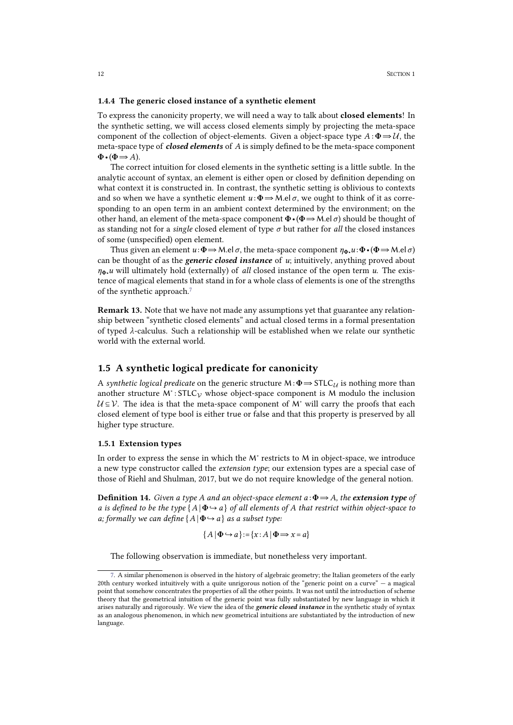#### <span id="page-11-0"></span>1.4.4 The generic closed instance of a synthetic element

To express the canonicity property, we will need a way to talk about **closed elements**! In the synthetic setting, we will access closed elements simply by projecting the meta-space component of the collection of object-elements. Given a object-space type  $A : \Phi \Rightarrow U$ , the meta-space type of *closed elements* of *A* is simply defined to be the meta-space component Φ•(Φ⇒*A*).

The correct intuition for closed elements in the synthetic setting is a little subtle. In the analytic account of syntax, an element is either open or closed by definition depending on what context it is constructed in. In contrast, the synthetic setting is oblivious to contexts and so when we have a synthetic element  $u : \Phi \rightarrow M$ .el  $\sigma$ , we ought to think of it as corresponding to an open term in an ambient context determined by the environment; on the other hand, an element of the meta-space component  $\Phi \cdot (\Phi \Rightarrow M$ .el $\sigma$ ) should be thought of as standing not for a *single* closed element of type *σ* but rather for *all* the closed instances of some (unspecified) open element.

Thus given an element  $u : \Phi \to M$ .el  $\sigma$ , the meta-space component  $\eta_{\Phi} u : \Phi \cdot (\Phi \to M$ .el  $\sigma$ ) can be thought of as the *generic closed instance* of *u*; intuitively, anything proved about *η*Φ•*u* will ultimately hold (externally) of *all* closed instance of the open term *u*. The existence ofmagical elements that stand in for a whole class of elements is one ofthe strengths of the synthetic approach.<sup>7</sup>

<span id="page-11-3"></span>Remark 13. Note that we have not made any assumptions yet that guarantee any relation ship between "synthetic closed elements" and actual closed terms in a formal presentation of typed *λ*-calculus. Such a relationship will be established when we relate our synthetic world with the external world.

## <span id="page-11-1"></span>1.5 A synthetic logical predicate for canonicity

A *synthetic logical predicate* on the generic structure M:Φ⇒STLC*<sup>U</sup>* is nothing more than another structure M<sup>∗</sup> : STLC*<sup>V</sup>* whose object-space component is M modulo the inclusion  $U \subseteq V$ . The idea is that the meta-space component of M<sup>\*</sup> will carry the proofs that each closed element of type bool is either true or false and that this property is preserved by all higher type structure.

#### <span id="page-11-2"></span>1.5.1 Extension types

In order to express the sense in which the M<sup>∗</sup> restricts to M in object-space, we introduce a new type constructor called the *extension type*; our extension types are a special case of those of Riehl and Shulman, 2017, but we do not require knowledge of the general notion.

**Definition 14.** *Given a type A and an object-space element*  $a : \Phi \Rightarrow A$ *, the extension type of* a is defined to be the type  $\{A | \Phi \rightarrow a\}$  of all elements of A that restrict within object-space to *a; formally we can define*  $\{A | \Phi \rightarrow a\}$  *as a subset type:* 

$$
\{A \mid \Phi \hookrightarrow a\} := \{x : A \mid \Phi \Longrightarrow x = a\}
$$

The following observation is immediate, but nonetheless very important.

[<sup>7.</sup>](#page-11-3) A similar phenomenon is observed in the history of algebraic geometry; the Italian geometers of the early 20th century worked intuitively with a quite unrigorous notion of the "generic point on a curve" — a magical point that somehow concentrates the properties of all the other points. It was not until the introduction of scheme theory that the geometrical intuition of the generic point was fully substantiated by new language in which it arises naturally and rigorously. We view the idea ofthe *generic closed instance* in the synthetic study of syntax as an analogous phenomenon, in which new geometrical intuitions are substantiated by the introduction of new language.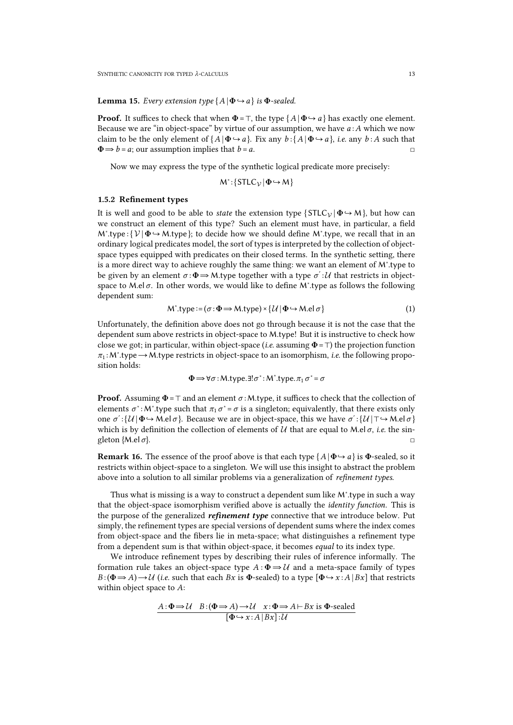**Lemma 15.** *Every extension type*  $\{A | \Phi \rightarrow a\}$  *is*  $\Phi$ *-sealed.* 

**Proof.** It suffices to check that when  $\Phi = \top$ , the type  $\{A \mid \Phi \rightarrow a\}$  has exactly one element. Because we are "in object-space" by virtue of our assumption, we have *a* :*A* which we now claim to be the only element of  $\{A | \Phi \hookrightarrow a\}$ . Fix any  $b : \{A | \Phi \hookrightarrow a\}$ , *i.e.* any  $b : A$  such that  $\Phi \Rightarrow b = a$ ; our assumption implies that  $b = a$ .

Now we may express the type of the synthetic logical predicate more precisely:

$$
\mathsf{M}^*\colon\!\{\mathsf{STLC}_{\mathcal{V}}\,|\,\!\Phi\!\leftrightarrow\!{\mathsf{M}}\}
$$

#### <span id="page-12-0"></span>1.5.2 Refinement types

It is well and good to be able to *state* the extension type  $\{STLC_V | \Phi \rightarrow M \}$ , but how can we construct an element of this type? Such an element must have, in particular, a field M<sup>∗</sup>.type: {  $V | \Phi \rightarrow M$ .type}; to decide how we should define M<sup>∗</sup>.type, we recall that in an ordinary logical predicates model, the sort of types is interpreted by the collection of object space types equipped with predicates on their closed terms. In the synthetic setting, there is a more direct way to achieve roughly the same thing: we want an element of M<sup>∗</sup> .type to be given by an element *σ* :  $Φ$  ⇒ M.type together with a type *σ*΄ : *U* that restricts in object-<br>space to M.el *σ*. In other words, we would like to define M\*.type as follows the following dependent sum:

$$
M^*.\text{type}:=(\sigma:\Phi\Longrightarrow M.\text{type})\times\{\mathcal{U}\mid \Phi\hookrightarrow M.\text{el }\sigma\}\tag{1}
$$

Unfortunately, the definition above does not go through because it is not the case that the dependent sum above restricts in object-space to M.type! But it is instructive to check how close we got; in particular, within object-space (*i.e.* assuming  $\Phi = \top$ ) the projection function  $π₁$ : M<sup>\*</sup>.type → M.type restricts in object-space to an isomorphism, *i.e.* the following proposition holds:

$$
\Phi \Longrightarrow \forall \sigma : M.\text{type.} \exists ! \sigma^* : M^*.type. \pi_1 \sigma^* = \sigma
$$

**Proof.** Assuming  $\Phi = \top$  and an element  $\sigma$ : M.type, it suffices to check that the collection of elements  $\sigma^*$ : M<sup>\*</sup>.type such that  $\pi_1 \sigma^* = \sigma$  is a singleton; equivalently, that there exists only one  $\sigma' : \{ \mathcal{U} | \Phi \hookrightarrow \mathcal{M} \in \mathcal{A} \}$ . Because we are in object-space, this we have  $\sigma' : \{ \mathcal{U} | \top \hookrightarrow \mathcal{M} \in \mathcal{A} \}$ <br>which is by definition the collection of elements of  $\mathcal{U}$  that are equal to  $\mathcal{M} \in \mathcal{A}$ ,

**Remark 16.** The essence of the proof above is that each type  $\{A | \Phi \rightarrow a\}$  is  $\Phi$ -sealed, so it restricts within object-space to a singleton. We will use this insight to abstract the problem above into a solution to all similar problems via a generalization of *refinement types*.

Thus what is missing is a way to construct a dependent sum like M<sup>∗</sup> .type in such a way that the object-space isomorphism verified above is actually the *identity function*. This is the purpose of the generalized *refinement type* connective that we introduce below. Put simply, the refinement types are special versions of dependent sums where the index comes from object-space and the fibers lie in meta-space; what distinguishes a refinement type from a dependent sum is that within object-space, it becomes *equal* to its index type.

We introduce refinement types by describing their rules of inference informally. The formation rule takes an object-space type  $A : \Phi \Rightarrow U$  and a meta-space family of types  $B : (\Phi \Rightarrow A) \rightarrow U$  (*i.e.* such that each  $Bx$  is  $\Phi$ -sealed) to a type  $[\Phi \leftrightarrow x : A | Bx]$  that restricts within object space to A:

$$
\underline{A: \Phi \Rightarrow U \quad B: (\Phi \Rightarrow A) \to U \quad x: \Phi \Rightarrow A \vdash Bx \text{ is } \Phi\text{-scaled}}
$$

$$
[\Phi \leftrightarrow x: A \mid Bx]: U
$$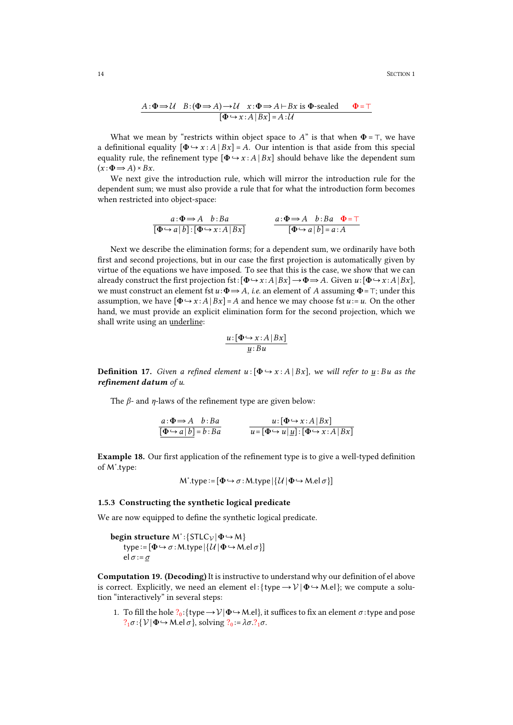14 SECTION 1

$$
A: \Phi \to \mathcal{U} \quad B: (\Phi \to A) \to \mathcal{U} \quad x: \Phi \to A \vdash Bx \text{ is } \Phi\text{-sealed} \qquad \Phi = \top
$$
  
 
$$
[\Phi \to x: A \mid Bx] = A: \mathcal{U}
$$

What we mean by "restricts within object space to *A*" is that when  $\Phi = \top$ , we have a definitional equality  $[\Phi \rightarrow x : A | Bx] = A$ . Our intention is that aside from this special equality rule, the refinement type  $[\Phi \rightarrow x : A | Bx]$  should behave like the dependent sum  $(x:\Phi \Longrightarrow A) \times Bx$ .

We next give the introduction rule, which will mirror the introduction rule for the dependent sum; we must also provide a rule that for what the introduction form becomes when restricted into object-space:

$$
\frac{a:\Phi \Rightarrow A \quad b:Ba}{[\Phi \hookrightarrow a \mid b]:[\Phi \hookrightarrow x:A \mid Bx]} \qquad \qquad \frac{a:\Phi \Rightarrow A \quad b:Ba \quad \Phi = \top}{[\Phi \hookrightarrow a \mid b] = a:A}
$$

Next we describe the elimination forms; for a dependent sum, we ordinarily have both first and second projections, but in our case the first projection is automatically given by virtue of the equations we have imposed. To see that this is the case, we show that we can already construct the first projection fst:  $[\Phi \rightarrow x : A | Bx] \rightarrow \Phi \Rightarrow A$ . Given  $u : [\Phi \rightarrow x : A | Bx]$ , we must construct an element fst  $u : \Phi \Rightarrow A$ , *i.e.* an element of *A* assuming  $\Phi = \top$ ; under this assumption, we have  $[\Phi \rightarrow x : A | Bx] = A$  and hence we may choose fst  $u := u$ . On the other hand, we must provide an explicit elimination form for the second projection, which we shall write using an underline:

$$
\frac{u\!:\![\Phi\!\hookrightarrow\! x\!:\!A\,|\,Bx]}{\underline{u}\!:\!Bu}
$$

**Definition 17.** Given a refined element  $u : [\Phi \rightarrow x : A | Bx]$ , we will refer to  $u : Bu$  as the *refinement datum of u.*

The *β*- and *η*-laws of the refinement type are given below:

$$
\frac{a:\Phi \Rightarrow A \quad b:Ba}{[\Phi \hookrightarrow a \mid b]=b:Ba} \qquad \qquad \frac{u:[\Phi \hookrightarrow x:A \mid Bx]}{u=[\Phi \hookrightarrow u \mid \underline{u}]:[\Phi \hookrightarrow x:A \mid Bx]}
$$

Example 18. Our first application of the refinement type is to give a well-typed definition of M<sup>∗</sup> .type:

M<sup>∗</sup> .type :=[Φ↪*σ* :M.type |{*U* |Φ↪M.el *σ* }]

## <span id="page-13-0"></span>1.5.3 Constructing the synthetic logical predicate

We are now equipped to define the synthetic logical predicate.

**begin structure** M<sup>∗</sup>:{STLC<sub>*V*</sub> | Φ → M} type := [ $\Phi \hookrightarrow \sigma$  : M.type | { $\mathcal{U} | \Phi \hookrightarrow$  M.el  $\sigma$ }] el  $\sigma := \underline{\sigma}$ 

Computation 19. (Decoding) It is instructive to understand why our definition of el above is correct. Explicitly, we need an element el: { $type \rightarrow V | \Phi \rightarrow M$ .el }; we compute a solution "interactively" in several steps:

1. To fill the hole  $?_0$ :{type  $\rightarrow$   $V$ | $\Phi$   $\rightarrow$  M.el}, it suffices to fix an element  $\sigma$ :type and pose  $?$ <sub>1</sub> $\sigma$  : {  $V | \Phi \hookrightarrow$  M.el  $\sigma$ }, solving  $?$ <sub>0</sub> :=  $\lambda \sigma$ .?<sub>1</sub> $\sigma$ .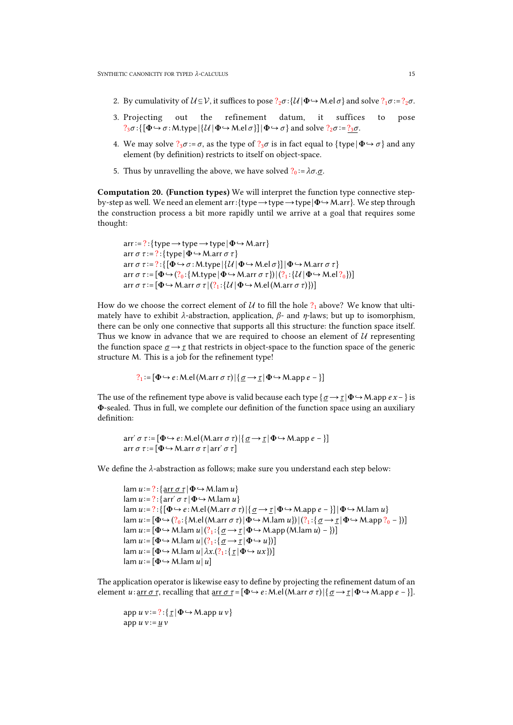- 2. By cumulativity of  $U \subseteq V$ , it suffices to pose ?<sub>2</sub>*σ* :{ $U | \Phi \rightarrow M$ .el*σ*} and solve ?<sub>1</sub>*σ* :=?<sub>2</sub>*σ*.
- 3. Projecting out the refinement datum, it suffices to pose  $?$ <sub>3</sub> $\sigma$ :{[ $\Phi \hookrightarrow \sigma$ : M.type}{ $\mathcal{U} | \Phi \hookrightarrow$  M.el $\sigma$ }]| $\Phi \hookrightarrow \sigma$ } and solve  $?$ <sub>2</sub> $\sigma$ :=?<sub>3</sub> $\sigma$ .
- 4. We may solve  $?3\sigma := \sigma$ , as the type of  $?3\sigma$  is in fact equal to  $\{\text{type} | \Phi \rightarrow \sigma \}$  and any element (by definition) restricts to itself on object-space.
- 5. Thus by unravelling the above, we have solved  $?<sub>0</sub> := λσ.σ$ .

Computation 20. (Function types) We will interpret the function type connective step by-step as well. We need an element arr:{type→type→type|Φ↪M.arr}. We step through the construction process a bit more rapidly until we arrive at a goal that requires some thought:

 $arr:=?$ :{type  $\rightarrow$  type  $\rightarrow$  type  $|\Phi \rightarrow M_0$ .arr} arr  $\sigma \tau := ?$ : {type |  $\Phi \hookrightarrow M$ .arr  $\sigma \tau$ } arr  $\sigma \tau := ?$ : { $[\Phi \rightarrow \sigma : M.type | \{U | \Phi \rightarrow M. \text{el } \sigma\}] | \Phi \rightarrow M. \text{arr } \sigma \tau$ }<br>arr  $\sigma \tau := [\Phi \rightarrow ?_0 : \{M.type | \Phi \rightarrow M. \text{arr } \sigma \tau\}] | (?_1 : \{U | \Phi \rightarrow M. \text{el } ?_0\})]$ <br>arr  $\sigma \tau := [\Phi \rightarrow M. \text{arr } \sigma \tau | (?_1 : \{U | \Phi \rightarrow M. \text{el } (M. \text{arr } \sigma \tau)\})]$ 

How do we choose the correct element of *U* to fill the hole ?<sub>1</sub> above? We know that ulti-mately have to exhibit *λ*-abstraction, application, *β*- and *η*-laws; but up to isomorphism, there can be only one connective that supports all this structure: the function space itself. Thus we know in advance that we are required to choose an element of *U* representing the function space  $\sigma \rightarrow \tau$  that restricts in object-space to the function space of the generic structure M. This is a job for the refinement type!

$$
?_1:=[\Phi \hookrightarrow e:\text{M}.el(\text{M.arr } \sigma \tau)]\{\underline{\sigma} \rightarrow \underline{\tau}|\Phi \hookrightarrow \text{M.app } e-\}]
$$

The use of the refinement type above is valid because each type  $\{ \underline{\sigma} \rightarrow \underline{\tau} | \Phi \rightarrow M$ .app  $e x - \}$  is Φ-sealed. Thus in full, we complete our definition of the function space using an auxiliary definition:

$$
\text{arr}' \sigma \tau := [\Phi \hookrightarrow e : \text{M}.el(\text{M}.\text{arr } \sigma \tau)] \{ \underline{\sigma} \rightarrow \underline{\tau} | \Phi \hookrightarrow \text{M}.\text{app } e - \}]
$$
\n
$$
\text{arr } \sigma \tau := [\Phi \hookrightarrow \text{M}.\text{arr } \sigma \tau | \text{arr}' \sigma \tau]
$$

We define the *λ*-abstraction as follows; make sure you understand each step below:

```
lam u := ? : \{ \arctan \sigma \tau \mid \Phi \hookrightarrow M \}.lam u \}lam u := ?:{arr´ \sigma \tau | \Phi \hookrightarrow M.lam u}
lam u :=? :{[Φ↪e :M.el(M.arr σ τ)|{ σ →τ |Φ↪M.app e − }]|Φ↪M.lam u }
lam u :=[Φ↪(?0 :{M.el(M.arr σ τ)|Φ↪M.lam u })|(?1 :{ σ →τ |Φ↪M.app ?0 − })]
lam u :=[Φ↪M.lam u |(?1 :{ σ →τ |Φ↪M.app (M.lam u) −})]
lam u := [\Phi \hookrightarrow M.lam u | (?_1 : {\sigma \rightarrow \tau | \Phi \hookrightarrow u})]lam u := [\Phi \hookrightarrow M.lam u | \lambda x. (?_1 : \{ \underline{\tau} | \Phi \hookrightarrow u x \})]\tan u := [\Phi \hookrightarrow M.lam u | u]
```
The application operator is likewise easy to define by projecting the refinement datum of an element *u*: arr *σ τ*, recalling that arr *σ τ* = [Φ  $\leftrightarrow$  *e*: M.el(M.arr *σ τ*)|{ *σ* → *τ*|Φ  $\leftrightarrow$  M.app *e* - }].

app *u v* :=? :{ *τ* |Φ↪M.app *u v* }app  $u v := u v$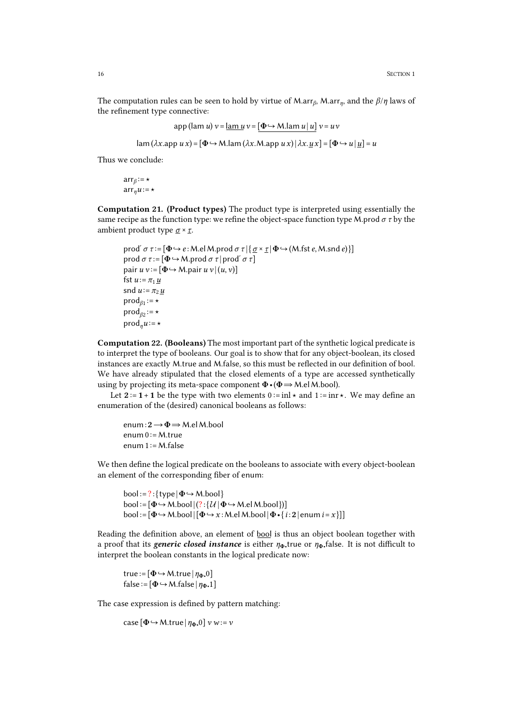The computation rules can be seen to hold by virtue of M.arr*β*, M.arr*η*, and the *β*/*η* laws of the refinement type connective:

$$
\text{app (lam } u) v = \underline{\text{lam } u} v = \underline{\Phi \hookrightarrow M.\text{lam } u \mid u} v = uv
$$
\n
$$
\text{lam } (\lambda x.\text{app } u \, x) = [\Phi \hookrightarrow M.\text{lam } (\lambda x.\text{Map } u \, x)] \, \lambda x.\underline{u} \, x] = [\Phi \hookrightarrow u \, | \, \underline{u} ] = u
$$

Thus we conclude:

$$
arr_{\beta} := \star
$$

$$
arr_{\eta} u := \star
$$

Computation 21. (Product types) The product type is interpreted using essentially the same recipe as the function type: we refine the object-space function type M.prod  $\sigma \tau$  by the ambient product type *σ* ×*τ*.

```
prodʹ σ τ :=[Φ↪e :M.elM.prod σ τ |{ σ ×τ |Φ↪(M.fst e,M.snd e)}]
prod σ τ :=[Φ↪M.prod σ τ | prodʹ σ τ]
pair u v := [\Phi \rightarrow M.pair u v | (u, v)]fst u := \pi_1 usnd u := \pi_2 \underline{u}prodβ1
:=⋆
prodβ2
:=⋆
\text{prod}_n u := \star
```
Computation 22. (Booleans) The most important part of the synthetic logical predicate is to interpret the type of booleans. Our goal is to show that for any object-boolean, its closed instances are exactly M.true and M.false, so this must be reflected in our definition of bool. We have already stipulated that the closed elements of a type are accessed synthetically using by projecting its meta-space component  $\Phi \cdot (\Phi \Rightarrow M_{\cdot}e M_{\cdot} b \cdot \phi)$ .

Let  $2 := 1 + 1$  be the type with two elements  $0 := \text{inl} \star$  and  $1 := \text{inr} \star$ . We may define an enumeration of the (desired) canonical booleans as follows:

enum:2→Φ⇒M.elM.bool enum  $0 := M$ .true enum  $1 := M$ .false

We then define the logical predicate on the booleans to associate with every object-boolean an element of the corresponding fiber of enum:

```
bool := ? : \{ type | \Phi \hookrightarrow M.bool \}bool := [\Phi \hookrightarrow M_{\cdot}bool](? : \{\mathcal{U} | \Phi \hookrightarrow M_{\cdot}el M_{\cdot}bool\})]bool := [\Phi \rightarrow M \cdot bool | [\Phi \rightarrow x : M \cdot el M \cdot bool | \Phi \cdot \{i : 2 | \text{enum } i = x\}]]
```
Reading the definition above, an element of bool is thus an object boolean together with a proof that its *generic closed instance* is either *η*Φ•true or *η*Φ•false. It is not difficult to interpret the boolean constants in the logical predicate now:

true :=  $[\Phi \rightarrow M$ .true  $|\eta_{\Phi}$ .<sup>0</sup>]  $false := [\Phi \hookrightarrow M$ .false  $|\eta_{\Phi}.1]$ 

The case expression is defined by pattern matching:

case  $[\Phi \rightarrow M$ .true  $|\eta_{\Phi \bullet} 0|$  *v w*:= *v*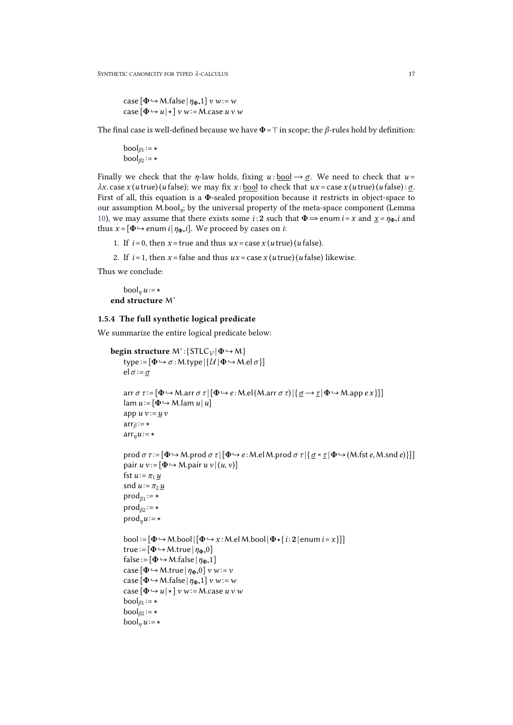case  $[\Phi \rightarrow M$ .false  $|\eta_{\Phi}.1]$  *v w*:= *w*  $\csc(\Phi \rightarrow u | \cdot)$  *v*  $w := M \cdot \csc u$  *v w* 

The final case is well-defined because we have  $\Phi = \top$  in scope; the  $\beta$ -rules hold by definition:

```
\text{bool}_{\beta_1} := \star\text{bool}_{\beta 2} := \star
```
Finally we check that the *η*-law holds, fixing  $u : \underline{bool} \rightarrow \underline{\sigma}$ . We need to check that  $u =$ *λx*. case *x* (*u* true)(*u* false); we may fix *x* : bool to check that  $ux = \cose x(u$  true)(*u* false): *σ*. First of all, this equation is a  $\Phi$ -sealed proposition because it restricts in object-space to our assumption M.bool*η*; by the universal property of the meta-space component (Lemma [10\)](#page-10-2), we may assume that there exists some *i* : 2 such that  $\Phi \Rightarrow$  enum *i* = *x* and  $\underline{x} = \eta_{\Phi} \cdot i$  and thus  $x = [\Phi \rightarrow e$ num *i* |  $\eta_{\Phi}$ *i*]. We proceed by cases on *i*:

- 1. If  $i = 0$ , then  $x = true$  and thus  $ux = case x (u true) (u false)$ .
- 2. If  $i = 1$ , then  $x =$  false and thus  $ux =$  case  $x(u \text{ true}) (u \text{ false})$  likewise.

Thus we conclude:

```
\text{bool}_n u := \starend structure M∗
```
## <span id="page-16-0"></span>1.5.4 The full synthetic logical predicate

We summarize the entire logical predicate below:

```
begin structure M<sup>∗</sup>:{STLC<sub>V</sub> | Φ → M}
    type :=[Φ↪σ :M.type |{U |Φ↪M.el σ }] el σ :=σ
    arr σ τ :=[Φ↪M.arr σ τ |[Φ↪e :M.el(M.arr σ τ)|{σ →τ |Φ↪M.app e x }]]
    \tan u := [\Phi \hookrightarrow M.lam u | u]app u v := u varrβ
:=⋆
    arr_n u := \starprod σ τ :=[Φ↪M.prod σ τ |[Φ↪e :M.elM.prod σ τ |{ σ ×τ |Φ↪(M.fst e,M.snd e)}]]
    pair u v := [\Phi \hookrightarrow M.pair u v | (u, v)]fst u := \pi_1 \underline{u}snd u := \pi_2 u\text{prod}_{\beta_1} := \star\text{prod}_{\beta 2} := \star\text{prod}_n u := \starbool := [\Phi \rightarrow M \cdot bool | [\Phi \rightarrow x : M \cdot el M \cdot bool | \Phi \cdot \{i : 2 | \text{enum } i = x\}]]true := [\Phi \hookrightarrow M.true |\eta_{\Phi}.<sup>0</sup>]
    false := [\Phi \hookrightarrow M.false |\eta_{\Phi}.1]case [\Phi \rightarrow M.true |\eta_{\Phi,0}| v w := v\cose [\Phi \rightarrow M.false |\eta_{\Phi}.1] v w := w\csc(\Phi \rightarrow u | \star] v w := M \cdot \csc u v w\text{bool}_{\beta_1} := \star\text{bool}_{\beta 2} := \star\text{bool}_n u := \star
```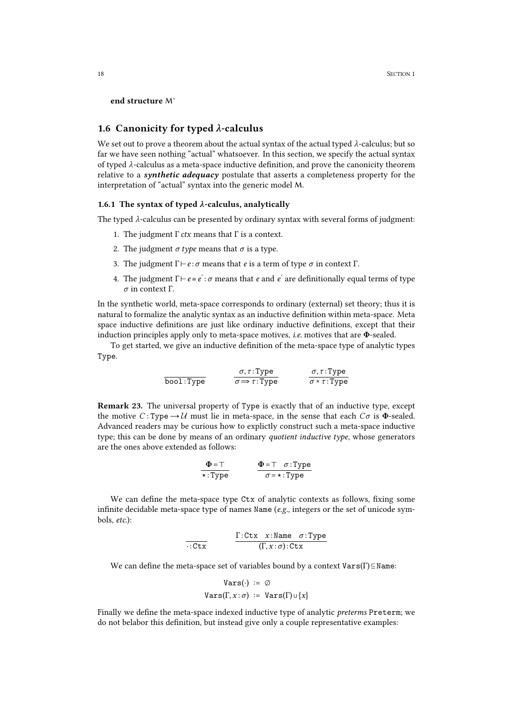end structure M<sup>∗</sup>

## <span id="page-17-0"></span>1.6 Canonicity for typed *λ*-calculus

We set out to prove a theorem about the actual syntax of the actual typed *λ*-calculus; but so far we have seen nothing "actual" whatsoever. In this section, we specify the actual syntax of typed *λ*-calculus as a meta-space inductive definition, and prove the canonicity theorem relative to a *synthetic adequacy* postulate that asserts a completeness property for the interpretation of "actual" syntax into the generic model M.

## <span id="page-17-1"></span>1.6.1 The syntax of typed  $\lambda$ -calculus, analytically

The typed *λ*-calculus can be presented by ordinary syntax with several forms of judgment:

- 1. The judgment Γ *ctx* means that Γ is a context.
- 2. The judgment  $\sigma$  *type* means that  $\sigma$  is a type.
- 3. The judgment  $Γ\vdash e : σ$  means that *e* is a term of type *σ* in context Γ.
- 4. The judgment  $\Gamma \vdash e \equiv e'$ : *σ* means that *e* and *e'* are definitionally equal terms of type *σ* in context Γ.

In the synthetic world, meta-space corresponds to ordinary (external) set theory; thus it is natural to formalize the analytic syntax as an inductive definition within meta-space. Meta space inductive definitions are just like ordinary inductive definitions, except that their induction principles apply only to meta-space motives, *i.e.* motives that are Φ-sealed.

To get started, we give an inductive definition of the meta-space type of analytic types Type.

<span id="page-17-2"></span>

| $\sigma, \tau: Type$            | $\sigma, \tau: Type$       | $\sigma, \tau: Type$ |
|---------------------------------|----------------------------|----------------------|
| $\sigma \Rightarrow \tau: Type$ | $\sigma \times \tau: Type$ |                      |

**Remark 23.** The universal property of Type is exactly that of an inductive type, except the motive *C* : Type  $\rightarrow$  *U* must lie in meta-space, in the sense that each *C* $\sigma$  is  $\Phi$ -sealed. Advanced readers may be curious how to explictly construct such a meta-space inductive type; this can be done by means of an ordinary *quotient inductive type*, whose generators are the ones above extended as follows:

$$
\Phi = \top \n\star : Type \n\Phi = \top \quad \sigma : Type \n\sigma = \star : Type
$$

We can define the meta-space type Ctx of analytic contexts as follows, fixing some infinite decidable meta-space type of names Name (*e.g.*, integers or the set of unicode sym bols, *etc.*):

$$
\frac{\Gamma: \text{ctx} \quad x: \text{Name} \quad \sigma: \text{Type}}{(\Gamma, x: \sigma): \text{Ctx}}
$$

We can define the meta-space set of variables bound by a context  $\text{Vars}(\Gamma) \subseteq \text{Name}:$ 

$$
Vars(\cdot) := \emptyset
$$

$$
Vars(\Gamma, x : \sigma) := Vars(\Gamma) \cup \{x\}
$$

Finally we define the meta-space indexed inductive type of analytic *preterms* Preterm; we do not belabor this definition, but instead give only a couple representative examples: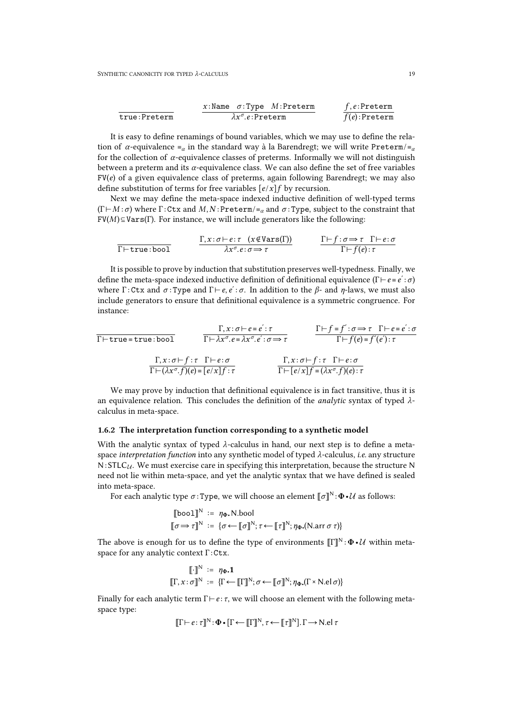|              | x:Name $\sigma$ :Type M:Preterm | $f.e:$ Preterm   |
|--------------|---------------------------------|------------------|
| true:Preterm | $\lambda x^{\sigma}$ .e:Preterm | $f(e)$ : Preterm |

It is easy to define renamings of bound variables, which we may use to define the relation of *α*-equivalence ≡*<sup>α</sup>* in the standard way à la Barendregt; we will write Preterm/≡*<sup>α</sup>* for the collection of *α*-equivalence classes of preterms. Informally we will not distinguish between a preterm and its*α*-equivalence class. We can also define the set of free variables  $FV(e)$  of a given equivalence class of preterms, again following Barendregt; we may also define substitution of terms for free variables [*e*/*x*]*f* by recursion.

Next we may define the meta-space indexed inductive definition of well-typed terms  $(\Gamma \vdash M : \sigma)$  where  $\Gamma$ : Ctx and *M*, *N*: Preterm/=*<sub>α</sub>* and  $\sigma$ : Type, subject to the constraint that  $FV(M) \subseteq VarS(\Gamma)$ . For instance, we will include generators like the following:

$$
\frac{\Gamma, x : \sigma \vdash e : \tau \quad (x \notin \text{Vars}(\Gamma))}{\lambda x^{\sigma}. e : \sigma \Rightarrow \tau} \qquad \frac{\Gamma \vdash f : \sigma \Rightarrow \tau \quad \Gamma \vdash e : \sigma}{\Gamma \vdash f(e) : \tau}
$$

It is possible to prove by induction that substitution preserves well-typedness. Finally, we define the meta-space indexed inductive definition of definitional equivalence (Γ⊢*e* ≡*e*ʹ :*σ*) where Γ : Ctx and *σ* : Type and Γ⊢*e*, *e*ʹ : *σ*. In addition to the *β*- and *η*-laws, we must also include generators to ensure that definitional equivalence is a symmetric congruence. For instance:

$$
\frac{\Gamma, x : \sigma \vdash e = e': \tau}{\Gamma \vdash \text{true} : \text{bool}}
$$
\n
$$
\frac{\Gamma, x : \sigma \vdash e = e': \tau}{\Gamma \vdash \lambda x^{\sigma}. e = \lambda x^{\sigma}. e': \sigma \Rightarrow \tau}
$$
\n
$$
\frac{\Gamma \vdash f = f': \sigma \Rightarrow \tau \quad \Gamma \vdash e = e': \sigma}{\Gamma \vdash f(e) = f'(e'): \tau}
$$
\n
$$
\frac{\Gamma, x : \sigma \vdash f : \tau \quad \Gamma \vdash e: \sigma}{\Gamma \vdash (\lambda x^{\sigma}. f)(e) = [e/x]f : \tau}
$$
\n
$$
\frac{\Gamma, x : \sigma \vdash f : \tau \quad \Gamma \vdash e: \sigma}{\Gamma \vdash [e/x]f = (\lambda x^{\sigma}. f)(e) : \tau}
$$

We may prove by induction that definitional equivalence is in fact transitive, thus it is an equivalence relation. This concludes the definition of the *analytic* syntax of typed *<sup>λ</sup>*-calculus in meta-space.

### <span id="page-18-0"></span>1.6.2 The interpretation function corresponding to a synthetic model

With the analytic syntax of typed *λ*-calculus in hand, our next step is to define a meta space *interpretation function* into any synthetic model of typed *λ*-calculus, *i.e.* any structure N:STLC*U*. We must exercise care in specifying this interpretation, because the structure N need not lie within meta-space, and yet the analytic syntax that we have defined is sealed into meta-space.

For each analytic type  $\sigma$ :Type, we will choose an element  $\llbracket \sigma \rrbracket^N : \Phi \cdot \mathcal{U}$  as follows:

$$
\begin{aligned}\n\llbracket \text{bool} \rrbracket^N &:= \eta_{\Phi^\bullet} \text{N}.\text{bool} \\
\llbracket \sigma \Longrightarrow \tau \rrbracket^N &:= \{ \sigma \longleftarrow \llbracket \sigma \rrbracket^N; \tau \longleftarrow \llbracket \tau \rrbracket^N; \eta_{\Phi^\bullet} (\text{N}.\text{arr } \sigma \tau) \}\n\end{aligned}
$$

The above is enough for us to define the type of environments  $\llbracket \Gamma \rrbracket^N : \Phi \cdot \mathcal{U}$  within metaspace for any analytic context  $\Gamma : \mathsf{Ctx}$ .

$$
\llbracket \cdot \rrbracket^N := \eta_{\Phi} \mathbf{1}
$$

$$
\llbracket \Gamma, x : \sigma \rrbracket^N := \{ \Gamma \leftarrow \llbracket \Gamma \rrbracket^N; \sigma \leftarrow \llbracket \sigma \rrbracket^N; \eta_{\Phi} \mathbf{.} (\Gamma \times \mathbf{N} . \mathbf{el} \sigma) \}
$$

Finally for each analytic term Γ⊢*e* : *τ*, we will choose an element with the following meta space type:

$$
[\![\Gamma \vdash e \colon \tau]\!]^N \colon \Phi \bullet [\![\Gamma \leftarrow [\![\Gamma]\!]^N, \tau \leftarrow [\![\tau]\!]^N].\Gamma \rightarrow N. \text{el } \tau
$$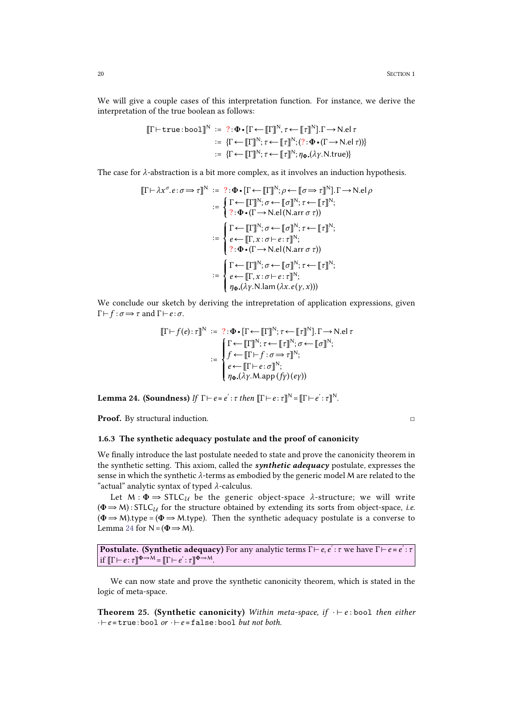We will give a couple cases of this interpretation function. For instance, we derive the interpretation of the true boolean as follows:

$$
\begin{aligned} [\![\Gamma \vdash \texttt{true} : \texttt{bool}]\!]^N &:= ? : \Phi \cdot [\![\Gamma \leftarrow [\![\Gamma]\!]^N, \tau \leftarrow [\![\tau]\!]^N], \Gamma \rightarrow \texttt{N}.\texttt{el} \,\tau \\ &:= \{\Gamma \leftarrow [\![\Gamma]\!]^N; \tau \leftarrow [\![\tau]\!]^N; \text{ } (\texttt{?} : \Phi \cdot (\Gamma \rightarrow \texttt{N}.\texttt{el} \,\tau))\} \\ &:= \{\Gamma \leftarrow [\![\Gamma]\!]^N; \tau \leftarrow [\![\tau]\!]^N; \eta_\Phi. (\lambda \gamma. \texttt{N}.\texttt{true})\} \end{aligned}
$$

The case for *λ*-abstraction is a bit more complex, as it involves an induction hypothesis.

$$
\llbracket \Gamma \vdash \lambda x^{\sigma}. e : \sigma \Rightarrow \tau \rrbracket^N := ? : \Phi \cdot \llbracket \tau \leftarrow \llbracket \tau \rrbracket^N; \rho \leftarrow \llbracket \sigma \Rightarrow \tau \rrbracket^N \rrbracket \Gamma \rightarrow \text{N}. e \rbrack \rho
$$
\n
$$
:= \begin{cases}\n\Gamma \leftarrow \llbracket \Gamma \rrbracket^N; \sigma \leftarrow \llbracket \sigma \rrbracket^N; \tau \leftarrow \llbracket \tau \rrbracket^N; \\
? : \Phi \cdot (\Gamma \rightarrow \text{N}. e \rbrack (\text{N.} \text{arr } \sigma \tau))\n\end{cases}
$$
\n
$$
:= \begin{cases}\n\Gamma \leftarrow \llbracket \Gamma \rrbracket^N; \sigma \leftarrow \llbracket \sigma \rrbracket^N; \tau \leftarrow \llbracket \tau \rrbracket^N; \\
e \leftarrow \llbracket \Gamma, x : \sigma \vdash e : \tau \rrbracket^N; \\
? : \Phi \cdot (\Gamma \rightarrow \text{N.} e \rbrack (\text{N.} \text{arr } \sigma \tau))\n\end{cases}
$$
\n
$$
:= \begin{cases}\n\Gamma \leftarrow \llbracket \Gamma \rrbracket^N; \sigma \leftarrow \llbracket \sigma \rrbracket^N; \tau \leftarrow \llbracket \tau \rrbracket^N; \\
e \leftarrow \llbracket \Gamma, x : \sigma \vdash e : \tau \rrbracket^N; \\
\eta_{\Phi}. (\lambda \gamma. \text{N.} \text{lam } (\lambda x. e(\gamma, x)))\n\end{cases}
$$

We conclude our sketch by deriving the intrepretation of application expressions, given Γ⊢ *<sup>f</sup>* :*<sup>σ</sup>* <sup>⇒</sup>*<sup>τ</sup>* and Γ⊢*<sup>e</sup>* :*σ*.⟦Γ⊢ *<sup>f</sup>* (*e*): *<sup>τ</sup>*⟧<sup>N</sup> := ? :Φ•[Γ←⟦Γ⟧<sup>N</sup>; *<sup>τ</sup>* ←⟦*τ*⟧<sup>N</sup>]. Γ→N.el *<sup>τ</sup>*

$$
\llbracket \Gamma \vdash f(e) : \tau \rrbracket^N := ? : \Phi \cdot \llbracket \tau \leftarrow \llbracket \tau \rrbracket^N ; \tau \leftarrow \llbracket \tau \rrbracket^N ; \Gamma \rightarrow \text{N}.el \tau
$$
\n
$$
:= \begin{cases} \Gamma \leftarrow \llbracket \Gamma \rrbracket^N ; \tau \leftarrow \llbracket \tau \rrbracket^N ; \sigma \leftarrow \llbracket \sigma \rrbracket^N ; \\ f \leftarrow \llbracket \Gamma \vdash f : \sigma \Rightarrow \tau \rrbracket^N ; \\ e \leftarrow \llbracket \Gamma \vdash e : \sigma \rrbracket^N ; \\ \eta \Phi. (\lambda \gamma . \text{Map} (f \gamma) (e \gamma)) \end{cases}
$$

<span id="page-19-1"></span>**Lemma 24. (Soundness)** *If*  $\Gamma \vdash e \equiv e' : \tau$  *then*  $\Gamma \vdash e : \tau \rrbracket^N = \Gamma \vdash e' : \tau \rrbracket^N$ .

Proof. By structural induction. □

## <span id="page-19-0"></span>1.6.3 The synthetic adequacy postulate and the proof of canonicity

We finally introduce the last postulate needed to state and prove the canonicity theorem in the synthetic setting. This axiom, called the *synthetic adequacy* postulate, expresses the sense in which the synthetic *λ*-terms as embodied by the generic model M are related to the "actual" analytic syntax of typed *λ*-calculus.

Let  $M : \Phi \Rightarrow \text{STLC}_{\mathcal{U}}$  be the generic object-space  $\lambda$ -structure; we will write  $(\Phi \Rightarrow M) : \text{STLC}_{\mathcal{U}}$  for the structure obtained by extending its sorts from object-space, *i.e.*  $(\Phi \Rightarrow M)$ .type =  $(\Phi \Rightarrow M$ .type). Then the synthetic adequacy postulate is a converse to Lemma [24](#page-19-1) for  $N = (\Phi \Rightarrow M)$ .

Postulate. (Synthetic adequacy) For any analytic terms Γ⊢*e*, *e*ʹ : *τ* we have Γ⊢*e* ≡ *e*ʹ : *τ*  $\text{if } \llbracket \Gamma \vdash e : \tau \rrbracket^{\Phi \Rightarrow M} = \llbracket \Gamma \vdash e' : \tau \rrbracket^{\Phi \Rightarrow M}.$ 

We can now state and prove the synthetic canonicity theorem, which is stated in the logic of meta-space.

<span id="page-19-2"></span>Theorem 25. (Synthetic canonicity) *Within meta-space, if* ⋅ ⊢ *e* : bool *then either* ⋅⊢*e* ≡true:bool *or* ⋅⊢*e* ≡false: bool *butnot both.*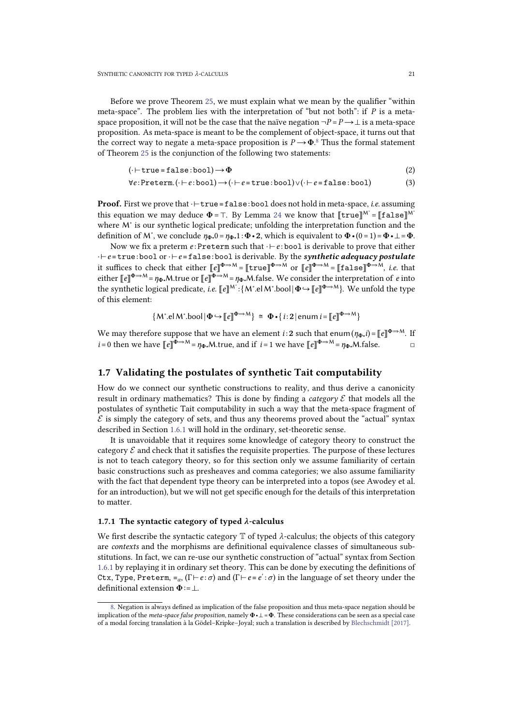Before we prove Theorem [25,](#page-19-2) we must explain what we mean by the qualifier "within meta-space". The problem lies with the interpretation of "but not both": if *P* is a meta space proposition, it will not be the case that the naïve negation  $\neg P = P \rightarrow \bot$  is a meta-space proposition. As meta-space is meant to be the complement of object-space, it turns out that the correct way to negate a meta-space proposition is  $P \rightarrow \Phi$ .<sup>8</sup> Thus the formal statement of Theorem [25](#page-19-2) is the conjunction of the following two statements:

<span id="page-20-2"></span>
$$
(\cdot \vdash \texttt{true} = \texttt{false} : \texttt{bool}) \rightarrow \Phi \tag{2}
$$

$$
\forall e:\texttt{Preterm}.(\cdot \vdash e:\texttt{bool}) \rightarrow (\cdot \vdash e = \texttt{true}:\texttt{bool}) \lor (\cdot \vdash e = \texttt{false}:\texttt{bool}) \tag{3}
$$

Proof. First we prove that ⋅⊢true≡false:bool does not hold in meta-space, *i.e.* assuming this equation we may deduce  $\Phi = \top$ . By Lemma [24](#page-19-1) we know that  $[\![true]\!]^{M^*} = [\![false]\!]^{M^*}$ where M<sup>∗</sup> is our synthetic logical predicate; unfolding the interpretation function and the definition of M<sup>\*</sup>, we conclude  $\eta_{\Phi}$ , 0 =  $\eta_{\Phi}$ , 1 :  $\Phi \cdot \mathbf{2}$ , which is equivalent to  $\Phi \cdot (0=1) = \Phi \cdot \bot = \Phi$ .

Now we fix a preterm *e* : Preterm such that ⋅ ⊢ *e* : bool is derivable to prove that either ⋅⊢*e*≡true:bool or⋅⊢*e*≡false:bool is derivable. By the *synthetic adequacy postulate* it suffices to check that either  $[[e]]^{\Phi \Rightarrow M} = [[true]]^{\Phi \Rightarrow M}$  or  $[[e]]^{\Phi \Rightarrow M} = [[false]]^{\Phi \Rightarrow M}$ , *i.e.* that either  $[e]\n$ <sup>Φ⇒M</sup> = *η*φ.M.true or  $[$ *e*]<sup>Φ⇒M</sup> = *η*φ.M.false. We consider the interpretation of *e* into the synthetic logical predicate, *i.e.*  $\llbracket e \rrbracket^{\mathsf{M}^*}:$ {M\*.elM\*.bool|Φ↔ $\llbracket e \rrbracket^{\Phi \Rightarrow \mathsf{M}}$ }. We unfold the type of this element:

$$
\{M^*.el\,M^*.bool \,|\, \Phi \hookrightarrow [\![e]\!]^{\Phi \Rightarrow M}\} \cong \Phi \bullet \{i:2 \,|\, \text{enum } i \in [\![e]\!]^{\Phi \Rightarrow M}\}
$$

We may therefore suppose that we have an element *i* : 2 such that enum  $(\eta_{\Phi} \cdot i) = [e]^{\Phi \Rightarrow M}$ . If *i* = 0 then we have  $\llbracket e \rrbracket^{\Phi \Rightarrow M} = \eta_{\Phi} M$ . true, and if *i* = 1 we have  $\llbracket e \rrbracket^{\Phi \Rightarrow M} = \eta_{\Phi} M$ . false.

## <span id="page-20-0"></span>1.7 Validating the postulates of synthetic Tait computability

How do we connect our synthetic constructions to reality, and thus derive a canonicity result in ordinary mathematics? This is done by finding a *category*  $E$  that models all the postulates of synthetic Tait computability in such a way that the meta-space fragment of  $E$  is simply the category of sets, and thus any theorems proved about the "actual" syntax described in Section [1.6.1](#page-17-2) will hold in the ordinary, set-theoretic sense.

It is unavoidable that it requires some knowledge of category theory to construct the category  $\mathcal E$  and check that it satisfies the requisite properties. The purpose of these lectures is not to teach category theory, so for this section only we assume familiarity of certain basic constructions such as presheaves and comma categories; we also assume familiarity with the fact that dependent type theory can be interpreted into a topos (see Awodey et al.<br>for an introduction), but we will not get specific enough for the details of this interpretation to matter.

### <span id="page-20-1"></span>1.7.1 The syntactic category of typed *λ*-calculus

We first describe the syntactic category  $\mathbb T$  of typed  $\lambda$ -calculus; the objects of this category are *contexts* and the morphisms are definitional equivalence classes of simultaneous sub stitutions. In fact, we can re-use our synthetic construction of "actual" syntax from Section [1.6.1](#page-17-2) by replaying it in ordinary settheory. This can be done by executing the definitions of Ctx, Type, Preterm,  $\equiv_{\alpha}$ ,  $(\Gamma \vdash e : \sigma)$  and  $(\Gamma \vdash e \equiv e' : \sigma)$  in the language of set theory under the definitional extension  $\Phi$ :=⊥.

[<sup>8.</sup>](#page-20-2) Negation is always defined as implication of the false proposition and thus meta-space negation should be implication of the *meta-space false proposition*, namely Φ•⊥=Φ. These considerations can be seen as a special case of a modal forcing translation àla Gödel–Kripke–Joyal; such a translation is described by [Blechschmidt](#page-22-6) [\[2017\].](#page-22-6)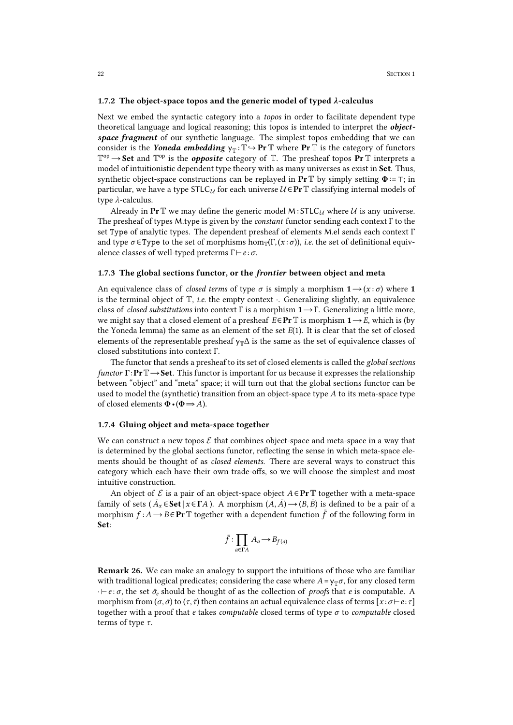### <span id="page-21-3"></span><span id="page-21-0"></span>1.7.2 The object-space topos and the generic model of typed *λ*-calculus

Next we embed the syntactic category into a *topos* in order to facilitate dependent type theoretical language and logical reasoning; this topos is intended to interpret the *object space fragment* of our synthetic language. The simplest topos embedding that we can consider is the *Yoneda embedding*  $\mathsf{y}_\mathbb{T} \colon \mathbb{T} \hookrightarrow \mathbf{Pr} \mathbb{T}$  where  $\mathbf{Pr} \mathbb{T}$  is the category of functors  $\mathbb{T}^{\mathrm{op}} \to$  Set and  $\mathbb{T}^{\mathrm{op}}$  is the *opposite* category of  $\mathbb{T}.$  The presheaf topos  $\Pr$   $\mathbb T$  interprets a model of intuitionistic dependent type theory with as many universes as exist in Set. Thus, synthetic object-space constructions can be replayed in **Pr**  $\mathbb{T}$  by simply setting  $\Phi$  := ⊤; in particular, we have a type STLC<sub>*U*</sub> for each universe  $U \in \mathbf{Pr} \mathbb{T}$  classifying internal models of type *λ*-calculus.

Already in Pr<sup>T</sup> we may define the generic model <sup>M</sup>: STLC*<sup>U</sup>* where *<sup>U</sup>* is any universe. The presheaf of types <sup>M</sup>.type is given by the *constant* functor sending each context <sup>Γ</sup> to the set Type of analytic types. The dependent presheaf of elements M.el sends each context Γ and type  $\sigma \in \text{Type}$  to the set of morphisms hom $_{\mathbb{T}}(\Gamma,(x:\sigma))$ , *i.e.* the set of definitional equivalence classes of well-typed preterms Γ⊢*e* :*σ*.

### <span id="page-21-1"></span>1.7.3 The global sections functor, or the *frontier* between object and meta

An equivalence class of *closed terms* of type  $\sigma$  is simply a morphism  $1 \rightarrow (x : \sigma)$  where 1 is the terminal object of  $\mathbb{T}$ , *i.e.* the empty context  $\cdot$ . Generalizing slightly, an equivalence class of *closed substitutions* into context Γ is a morphism 1→Γ. Generalizing a little more, we might say that a closed element of a presheaf  $E \in \text{Pr} \mathbb{T}$  is morphism  $1 \rightarrow E$ , which is (by the Yoneda lemma) the same as an element of the set *E*(1). It is clear that the set of closed elements of the representable presheaf  $y<sub>T</sub>Δ$  is the same as the set of equivalence classes of closed substitutions into context Γ.

The functor that sends a presheaf to its set of closed elements is called the *global* sections *functor*  $\Gamma: \mathbf{Pr} \mathbb{T} \longrightarrow \mathbf{Set}$ . This functor is important for us because it expresses the relationship between "object" and "meta" space; it will turn out that the global sections functor can be used to model the (synthetic) transition from an object-space type *A* to its meta-space type of closed elements Φ•(Φ⇒*A*).

#### <span id="page-21-2"></span>1.7.4 Gluing object and meta-space together

We can construct a new topos  $\mathcal E$  that combines object-space and meta-space in a way that is determined by the global sections functor, reflecting the sense in which meta-space ele ments should be thought of as *closed elements*. There are several ways to construct this category which each have their own trade-offs, so we will choose the simplest and most intuitive construction.

An object of  $\mathcal E$  is a pair of an object-space object  $A \in \mathbf{Pr} \mathbb T$  together with a meta-space family of sets ( $\bar{A}_x \in \mathbf{Set} \mid x \in \Gamma A$ ). A morphism  $(A, \bar{A}) \rightarrow (B, \bar{B})$  is defined to be a pair of a morphism  $f: A \to B \in \mathbf{Pr}$  T together with a dependent function  $\bar{f}$  of the following form in Set:

$$
\bar{f} : \prod_{a \in \Gamma A} A_a \to B_{f(a)}
$$

Remark 26. We can make an analogy to support the intuitions of those who are familiar with traditional logical predicates; considering the case where  $A = y<sub>T</sub> \sigma$ , for any closed term  $·$ *⊦e* : *σ*, the set  $\bar{\sigma}_e$  should be thought of as the collection of *proofs* that *e* is computable. A morphism from ( $\sigma$ , $\bar{\sigma}$ ) to ( $\tau$ , $\bar{\tau}$ ) then contains an actual equivalence class of terms [ $x : \sigma \vdash e : \tau$ ] together with a proof that *e* takes *computable* closed terms of type *σ* to *computable* closed terms of type *τ*.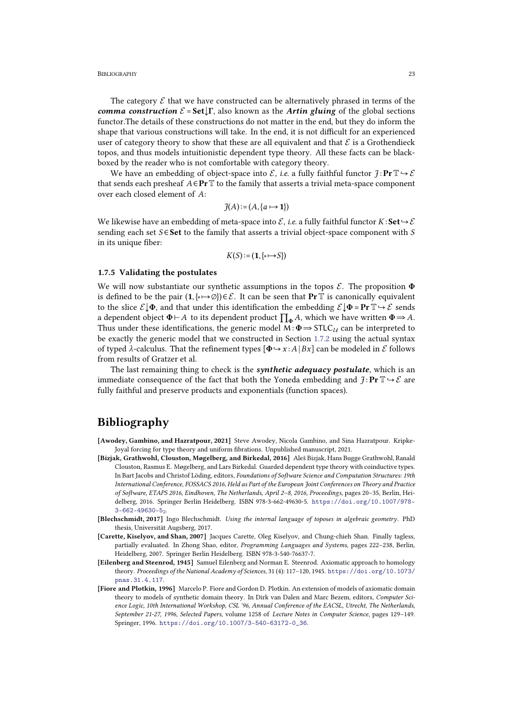#### BIBLIOGRAPHY 23

The category  $\mathcal E$  that we have constructed can be alternatively phrased in terms of the *comma construction*  $\mathcal{E} = \mathbf{Set} \downarrow \Gamma$ , also known as the *Artin gluing* of the global sections functor.The details of these constructions do not matter in the end, but they do inform the shape that various constructions will take. In the end, it is not difficult for an experienced user of category theory to show that these are all equivalent and that  $\mathcal E$  is a Grothendieck topos, and thus models intuitionistic dependent type theory. All these facts can be black boxed by the reader who is not comfortable with category theory.

We have an embedding of object-space into  $\mathcal{E}$ , *i.e.* a fully faithful functor  $\mathcal{J}: \text{Pr } \mathbb{T} \hookrightarrow \mathcal{E}$ that sends each presheaf  $A \in \mathbf{Pr} \mathbb{T}$  to the family that asserts a trivial meta-space component over each closed element of *A*:

$$
\mathcal{J}(A) := (A, \{a \mapsto \mathbf{1}\})
$$

We likewise have an embedding of meta-space into  $\mathcal{E}$ , *i.e.* a fully faithful functor  $K:$  **Set**  $\rightarrow$   $\mathcal{E}$ sending each set *S* ∈ Set to the family that asserts a trivial object-space component with *S* in its unique fiber:

$$
K(S)\mathbin{\vcentcolon}=(\mathbf{1},\{\ast\,\mapsto S\})
$$

#### <span id="page-22-0"></span>1.7.5 Validating the postulates

We will now substantiate our synthetic assumptions in the topos  $\mathcal{E}$ . The proposition  $\Phi$ is defined to be the pair  $(1, \{*\mapsto \emptyset\}) \in \mathcal{E}$ . It can be seen that **Pr**  $\mathbb{T}$  is canonically equivalent to the slice  $\mathcal{E} \downarrow \Phi$ , and that under this identification the embedding  $\mathcal{E} \downarrow \Phi \simeq \mathbf{Pr} \mathbb{T} \hookrightarrow \mathcal{$ a dependent object  $\Phi \vdash A$  to its dependent product  $\prod_{\Phi} A$ , which we have written  $\Phi \Rightarrow A$ .<br>Thus under these identifications, the generic model  $M : \Phi \Rightarrow \text{STLC}_{\mathcal{U}}$  can be interpreted to be exactly the generic model that we constructed in Section [1.7.2](#page-21-3) using the actual syntax of typed *λ*-calculus. That the refinement types  $[\Phi \rightarrow x : A | Bx]$  can be modeled in *E* follows from results of Gratzer et al.

The last remaining thing to check is the *synthetic adequacy postulate*, which is an immediate consequence of the fact that both the Yoneda embedding and  $\mathcal{J}: \mathbf{Pr} \mathbb{T} \rightarrow \mathcal{E}$  are fully faithful and preserve products and exponentials (function spaces).

## <span id="page-22-1"></span>Bibliography

- [Awodey, Gambino, and Hazratpour, 2021] Steve Awodey, Nicola Gambino, and Sina Hazratpour. Kripke-Joyal forcing for type theory and uniform fibrations. Unpublished manuscript, 2021.
- <span id="page-22-5"></span>[Bizjak, Grathwohl, Clouston, Møgelberg, and Birkedal, 2016] Aleš Bizjak, Hans Bugge Grathwohl, Ranald Clouston, Rasmus E. Møgelberg, and Lars Birkedal. Guarded dependent type theory with coinductive types. In Bart Jacobs and Christof Löding, editors, *Foundations of Soſtware Science and Computation Structures: 19th International Conference, FOSSACS 2016, Held as Part of the European Joint Conferences on Theory and Practice of Soſtware, ETAPS 2016, Eindhoven, The Netherlands, April 2–8, 2016, Proceedings*, pages 20–35, Berlin, Hei delberg, 2016. Springer Berlin Heidelberg. ISBN 978-3-662-49630-5. https://doi.org/10.1007/978-  $3 - 662 - 49630 - 52$
- <span id="page-22-6"></span>[Blechschmidt, 2017] Ingo Blechschmidt. *Using the internal language of toposes in algebraic geometry*. PhD thesis, Universität Augsberg, 2017.
- <span id="page-22-4"></span>[Carette, Kiselyov, and Shan, 2007] Jacques Carette, Oleg Kiselyov, and Chung-chieh Shan. Finally tagless, partially evaluated. In Zhong Shao, editor, *Programming Languages and Systems*, pages 222–238, Berlin, Heidelberg, 2007. Springer Berlin Heidelberg. ISBN 978-3-540-76637-7.
- <span id="page-22-2"></span>[Eilenberg and Steenrod, 1945] Samuel Eilenberg and Norman E. Steenrod. Axiomatic approach to homology theory. *Proceedings of the National Academy of Sciences*, 31 (4): 117–120, 1945. https://doi.org/10.1073/ pnas.31.4.117.
- <span id="page-22-3"></span>[Fiore and Plotkin, 1996] Marcelo P. Fiore and Gordon D. Plotkin. An extension of models of axiomatic domain theory to models of synthetic domain theory. In Dirk van Dalen and Marc Bezem, editors, *Computer Sci ence Logic, 10th International Workshop, CSL '96, Annual Conference of the EACSL, Utrecht, The Netherlands, September 21-27, 1996, Selected Papers*, volume 1258 of*Lecture Notes in Computer Science*, pages 129–149. Springer, 1996. https://doi.org/10.1007/3-540-63172-0\_36.